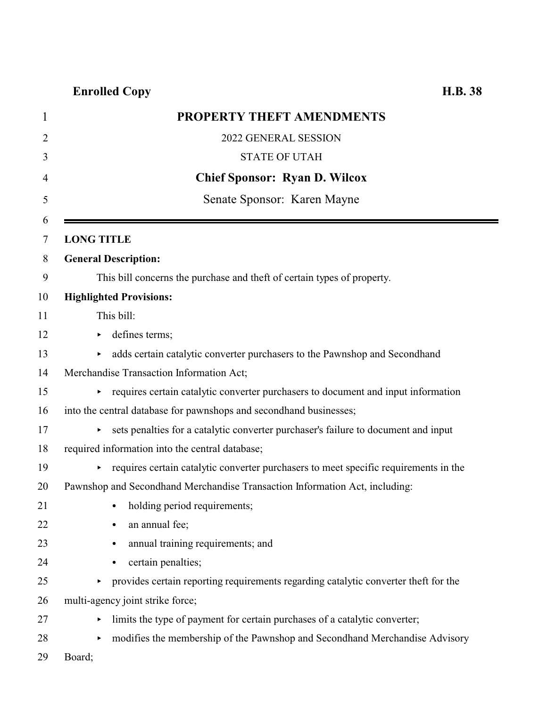| $\mathbf 1$ | PROPERTY THEFT AMENDMENTS                                                            |
|-------------|--------------------------------------------------------------------------------------|
| 2           | 2022 GENERAL SESSION                                                                 |
| 3           | <b>STATE OF UTAH</b>                                                                 |
| 4           | <b>Chief Sponsor: Ryan D. Wilcox</b>                                                 |
| 5           | Senate Sponsor: Karen Mayne                                                          |
| 6<br>7      | <b>LONG TITLE</b>                                                                    |
| 8           | <b>General Description:</b>                                                          |
| 9           | This bill concerns the purchase and theft of certain types of property.              |
| 10          | <b>Highlighted Provisions:</b>                                                       |
| 11          | This bill:                                                                           |
| 12          | defines terms;<br>▶                                                                  |
| 13          | adds certain catalytic converter purchasers to the Pawnshop and Secondhand           |
| 14          | Merchandise Transaction Information Act;                                             |
| 15          | requires certain catalytic converter purchasers to document and input information    |
| 16          | into the central database for pawnshops and secondhand businesses;                   |
| 17          | sets penalties for a catalytic converter purchaser's failure to document and input   |
| 18          | required information into the central database;                                      |
| 19          | requires certain catalytic converter purchasers to meet specific requirements in the |
| 20          | Pawnshop and Secondhand Merchandise Transaction Information Act, including:          |
| 21          | • holding period requirements;                                                       |
| 22          | an annual fee;                                                                       |
| 23          | annual training requirements; and<br>$\bullet$                                       |
| 24          | certain penalties;<br>$\bullet$                                                      |
| 25          | provides certain reporting requirements regarding catalytic converter theft for the  |
| 26          | multi-agency joint strike force;                                                     |
| 27          | limits the type of payment for certain purchases of a catalytic converter;           |
| 28          | modifies the membership of the Pawnshop and Secondhand Merchandise Advisory          |
| 29          | Board;                                                                               |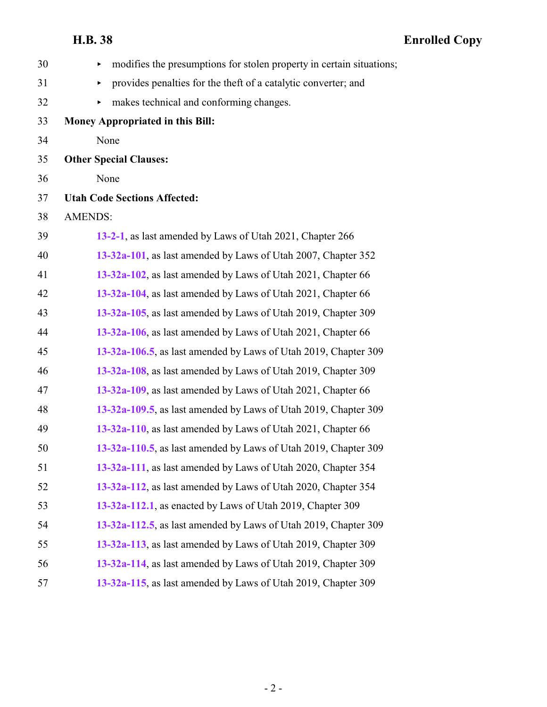| 30 | modifies the presumptions for stolen property in certain situations; |
|----|----------------------------------------------------------------------|
| 31 | provides penalties for the theft of a catalytic converter; and<br>▶  |
| 32 | makes technical and conforming changes.<br>▶                         |
| 33 | Money Appropriated in this Bill:                                     |
| 34 | None                                                                 |
| 35 | <b>Other Special Clauses:</b>                                        |
| 36 | None                                                                 |
| 37 | <b>Utah Code Sections Affected:</b>                                  |
| 38 | <b>AMENDS:</b>                                                       |
| 39 | 13-2-1, as last amended by Laws of Utah 2021, Chapter 266            |
| 40 | 13-32a-101, as last amended by Laws of Utah 2007, Chapter 352        |
| 41 | 13-32a-102, as last amended by Laws of Utah 2021, Chapter 66         |
| 42 | 13-32a-104, as last amended by Laws of Utah 2021, Chapter 66         |
| 43 | 13-32a-105, as last amended by Laws of Utah 2019, Chapter 309        |
| 44 | 13-32a-106, as last amended by Laws of Utah 2021, Chapter 66         |
| 45 | 13-32a-106.5, as last amended by Laws of Utah 2019, Chapter 309      |
| 46 | 13-32a-108, as last amended by Laws of Utah 2019, Chapter 309        |
| 47 | 13-32a-109, as last amended by Laws of Utah 2021, Chapter 66         |
| 48 | 13-32a-109.5, as last amended by Laws of Utah 2019, Chapter 309      |
| 49 | 13-32a-110, as last amended by Laws of Utah 2021, Chapter 66         |
| 50 | 13-32a-110.5, as last amended by Laws of Utah 2019, Chapter 309      |
| 51 | 13-32a-111, as last amended by Laws of Utah 2020, Chapter 354        |
| 52 | 13-32a-112, as last amended by Laws of Utah 2020, Chapter 354        |
| 53 | 13-32a-112.1, as enacted by Laws of Utah 2019, Chapter 309           |
| 54 | 13-32a-112.5, as last amended by Laws of Utah 2019, Chapter 309      |
| 55 | 13-32a-113, as last amended by Laws of Utah 2019, Chapter 309        |
| 56 | 13-32a-114, as last amended by Laws of Utah 2019, Chapter 309        |
| 57 | 13-32a-115, as last amended by Laws of Utah 2019, Chapter 309        |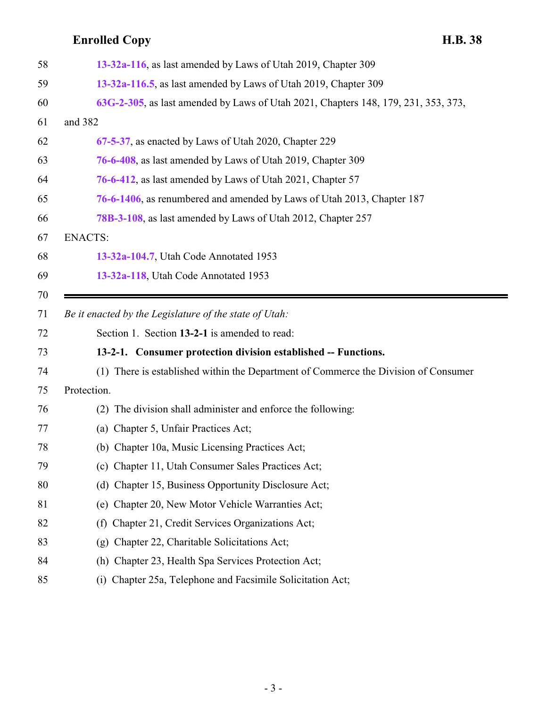<span id="page-2-0"></span>

| 58       | 13-32a-116, as last amended by Laws of Utah 2019, Chapter 309                                                        |
|----------|----------------------------------------------------------------------------------------------------------------------|
| 59       | 13-32a-116.5, as last amended by Laws of Utah 2019, Chapter 309                                                      |
| 60       | 63G-2-305, as last amended by Laws of Utah 2021, Chapters 148, 179, 231, 353, 373,                                   |
| 61       | and 382                                                                                                              |
| 62       | 67-5-37, as enacted by Laws of Utah 2020, Chapter 229                                                                |
| 63       | 76-6-408, as last amended by Laws of Utah 2019, Chapter 309                                                          |
| 64       | 76-6-412, as last amended by Laws of Utah 2021, Chapter 57                                                           |
| 65       | 76-6-1406, as renumbered and amended by Laws of Utah 2013, Chapter 187                                               |
| 66       | 78B-3-108, as last amended by Laws of Utah 2012, Chapter 257                                                         |
| 67       | <b>ENACTS:</b>                                                                                                       |
| 68       | 13-32a-104.7, Utah Code Annotated 1953                                                                               |
| 69       | 13-32a-118, Utah Code Annotated 1953                                                                                 |
| 70       |                                                                                                                      |
| 71       | Be it enacted by the Legislature of the state of Utah:                                                               |
|          |                                                                                                                      |
| 72       | Section 1. Section 13-2-1 is amended to read:                                                                        |
| 73       | 13-2-1. Consumer protection division established -- Functions.                                                       |
| 74       | (1) There is established within the Department of Commerce the Division of Consumer                                  |
| 75       | Protection.                                                                                                          |
| 76       | The division shall administer and enforce the following:<br>(2)                                                      |
| 77       | (a) Chapter 5, Unfair Practices Act;                                                                                 |
| 78       | (b) Chapter 10a, Music Licensing Practices Act;                                                                      |
| 79       | (c) Chapter 11, Utah Consumer Sales Practices Act;                                                                   |
| 80       | Chapter 15, Business Opportunity Disclosure Act;<br>(d)                                                              |
| 81       | Chapter 20, New Motor Vehicle Warranties Act;<br>(e)                                                                 |
| 82       | Chapter 21, Credit Services Organizations Act;<br>(f)                                                                |
| 83       | Chapter 22, Charitable Solicitations Act;<br>(g)                                                                     |
| 84<br>85 | Chapter 23, Health Spa Services Protection Act;<br>(h)<br>(i) Chapter 25a, Telephone and Facsimile Solicitation Act; |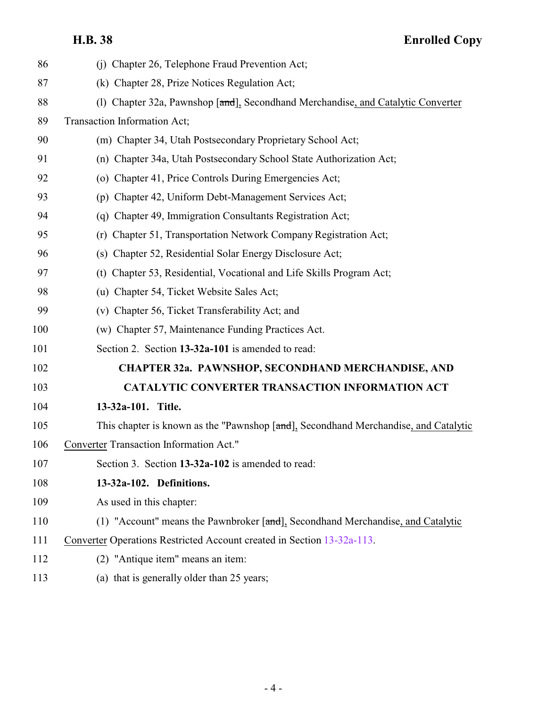<span id="page-3-1"></span><span id="page-3-0"></span>

| 86  | (j) Chapter 26, Telephone Fraud Prevention Act;                                     |
|-----|-------------------------------------------------------------------------------------|
| 87  | (k) Chapter 28, Prize Notices Regulation Act;                                       |
| 88  | Chapter 32a, Pawnshop [and], Secondhand Merchandise, and Catalytic Converter<br>(1) |
| 89  | Transaction Information Act;                                                        |
| 90  | (m) Chapter 34, Utah Postsecondary Proprietary School Act;                          |
| 91  | (n) Chapter 34a, Utah Postsecondary School State Authorization Act;                 |
| 92  | (o) Chapter 41, Price Controls During Emergencies Act;                              |
| 93  | (p) Chapter 42, Uniform Debt-Management Services Act;                               |
| 94  | (q) Chapter 49, Immigration Consultants Registration Act;                           |
| 95  | (r) Chapter 51, Transportation Network Company Registration Act;                    |
| 96  | (s) Chapter 52, Residential Solar Energy Disclosure Act;                            |
| 97  | (t) Chapter 53, Residential, Vocational and Life Skills Program Act;                |
| 98  | (u) Chapter 54, Ticket Website Sales Act;                                           |
| 99  | (v) Chapter 56, Ticket Transferability Act; and                                     |
| 100 | (w) Chapter 57, Maintenance Funding Practices Act.                                  |
| 101 | Section 2. Section 13-32a-101 is amended to read:                                   |
| 102 | <b>CHAPTER 32a. PAWNSHOP, SECONDHAND MERCHANDISE, AND</b>                           |
| 103 | <b>CATALYTIC CONVERTER TRANSACTION INFORMATION ACT</b>                              |
| 104 | 13-32a-101. Title.                                                                  |
| 105 | This chapter is known as the "Pawnshop [and], Secondhand Merchandise, and Catalytic |
| 106 | Converter Transaction Information Act."                                             |
| 107 | Section 3. Section 13-32a-102 is amended to read:                                   |
| 108 | 13-32a-102. Definitions.                                                            |
| 109 | As used in this chapter:                                                            |
| 110 | (1) "Account" means the Pawnbroker [and], Secondhand Merchandise, and Catalytic     |
| 111 | Converter Operations Restricted Account created in Section 13-32a-113.              |
| 112 | (2) "Antique item" means an item:                                                   |
| 113 | (a) that is generally older than 25 years;                                          |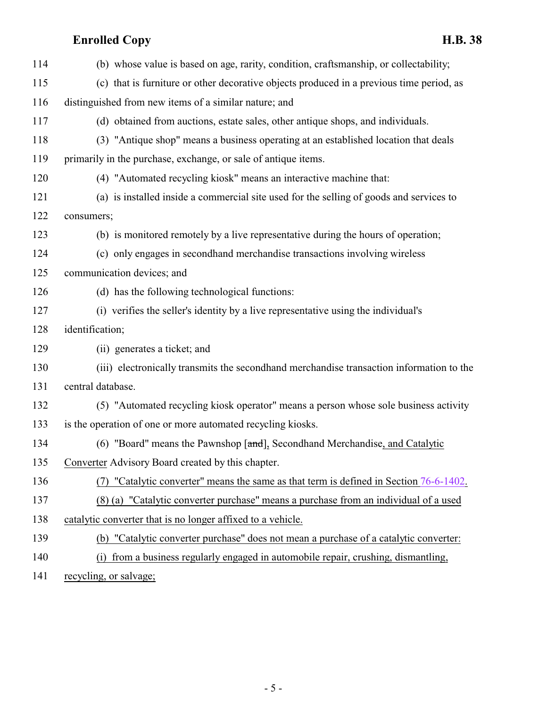| 114 | (b) whose value is based on age, rarity, condition, craftsmanship, or collectability;    |
|-----|------------------------------------------------------------------------------------------|
| 115 | (c) that is furniture or other decorative objects produced in a previous time period, as |
| 116 | distinguished from new items of a similar nature; and                                    |
| 117 | (d) obtained from auctions, estate sales, other antique shops, and individuals.          |
| 118 | (3) "Antique shop" means a business operating at an established location that deals      |
| 119 | primarily in the purchase, exchange, or sale of antique items.                           |
| 120 | (4) "Automated recycling kiosk" means an interactive machine that:                       |
| 121 | (a) is installed inside a commercial site used for the selling of goods and services to  |
| 122 | consumers;                                                                               |
| 123 | (b) is monitored remotely by a live representative during the hours of operation;        |
| 124 | (c) only engages in secondhand merchandise transactions involving wireless               |
| 125 | communication devices; and                                                               |
| 126 | (d) has the following technological functions:                                           |
| 127 | (i) verifies the seller's identity by a live representative using the individual's       |
| 128 | identification;                                                                          |
| 129 | (ii) generates a ticket; and                                                             |
| 130 | (iii) electronically transmits the secondhand merchandise transaction information to the |
| 131 | central database.                                                                        |
| 132 | (5) "Automated recycling kiosk operator" means a person whose sole business activity     |
| 133 | is the operation of one or more automated recycling kiosks.                              |
| 134 | (6) "Board" means the Pawnshop [and], Secondhand Merchandise, and Catalytic              |
| 135 | Converter Advisory Board created by this chapter.                                        |
| 136 | "Catalytic converter" means the same as that term is defined in Section 76-6-1402.       |
| 137 | (8) (a) "Catalytic converter purchase" means a purchase from an individual of a used     |
| 138 | catalytic converter that is no longer affixed to a vehicle.                              |
| 139 | (b) "Catalytic converter purchase" does not mean a purchase of a catalytic converter:    |
| 140 | from a business regularly engaged in automobile repair, crushing, dismantling,<br>(i)    |

141 recycling, or salvage;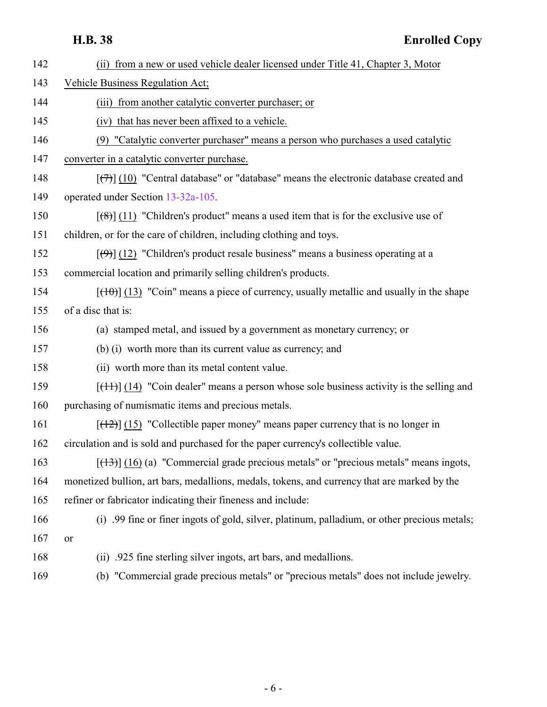| 142 | (ii) from a new or used vehicle dealer licensed under Title 41, Chapter 3, Motor                                  |
|-----|-------------------------------------------------------------------------------------------------------------------|
| 143 | Vehicle Business Regulation Act;                                                                                  |
| 144 | (iii) from another catalytic converter purchaser; or                                                              |
| 145 | (iv) that has never been affixed to a vehicle.                                                                    |
| 146 | (9) "Catalytic converter purchaser" means a person who purchases a used catalytic                                 |
| 147 | converter in a catalytic converter purchase.                                                                      |
| 148 | $[\overline{(+)}]$ (10) "Central database" or "database" means the electronic database created and                |
| 149 | operated under Section 13-32a-105.                                                                                |
| 150 | $\left[\frac{1}{2}\left(11\right)\right]$ "Children's product" means a used item that is for the exclusive use of |
| 151 | children, or for the care of children, including clothing and toys.                                               |
| 152 | $[\langle \Theta \rangle]$ (12) "Children's product resale business" means a business operating at a              |
| 153 | commercial location and primarily selling children's products.                                                    |
| 154 | $[\frac{(10)}{(13)}]$ (13) "Coin" means a piece of currency, usually metallic and usually in the shape            |
| 155 | of a disc that is:                                                                                                |
| 156 | (a) stamped metal, and issued by a government as monetary currency; or                                            |
| 157 | (b) (i) worth more than its current value as currency; and                                                        |
| 158 | (ii) worth more than its metal content value.                                                                     |
| 159 | $[$ (14) $]$ (14) "Coin dealer" means a person whose sole business activity is the selling and                    |
| 160 | purchasing of numismatic items and precious metals.                                                               |
| 161 | $[ (12) ]$ (15) "Collectible paper money" means paper currency that is no longer in                               |
| 162 | circulation and is sold and purchased for the paper currency's collectible value.                                 |
| 163 | $[ (13) ]$ (16) (a) "Commercial grade precious metals" or "precious metals" means ingots,                         |
| 164 | monetized bullion, art bars, medallions, medals, tokens, and currency that are marked by the                      |
| 165 | refiner or fabricator indicating their fineness and include:                                                      |
| 166 | (i) .99 fine or finer ingots of gold, silver, platinum, palladium, or other precious metals;                      |
| 167 | or                                                                                                                |
| 168 | (ii) .925 fine sterling silver ingots, art bars, and medallions.                                                  |
| 169 | (b) "Commercial grade precious metals" or "precious metals" does not include jewelry.                             |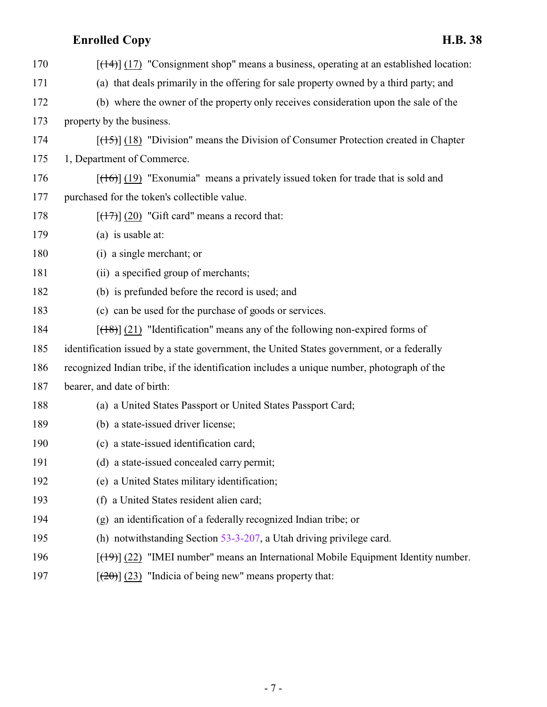| 170 | $[ (14) ]$ (17) "Consignment shop" means a business, operating at an established location: |
|-----|--------------------------------------------------------------------------------------------|
| 171 | (a) that deals primarily in the offering for sale property owned by a third party; and     |
| 172 | (b) where the owner of the property only receives consideration upon the sale of the       |
| 173 | property by the business.                                                                  |
| 174 | $[ (15) ]$ (18) "Division" means the Division of Consumer Protection created in Chapter    |
| 175 | 1, Department of Commerce.                                                                 |
| 176 | $[\frac{(16)}{(19)}]$ "Exonumia" means a privately issued token for trade that is sold and |
| 177 | purchased for the token's collectible value.                                               |
| 178 | $[\frac{17}{17}]$ (20) "Gift card" means a record that:                                    |
| 179 | (a) is usable at:                                                                          |
| 180 | (i) a single merchant; or                                                                  |
| 181 | (ii) a specified group of merchants;                                                       |
| 182 | (b) is prefunded before the record is used; and                                            |
| 183 | (c) can be used for the purchase of goods or services.                                     |
| 184 | $[ (18) ]$ (21) "Identification" means any of the following non-expired forms of           |
| 185 | identification issued by a state government, the United States government, or a federally  |
| 186 | recognized Indian tribe, if the identification includes a unique number, photograph of the |
| 187 | bearer, and date of birth:                                                                 |
| 188 | (a) a United States Passport or United States Passport Card;                               |
| 189 | (b) a state-issued driver license;                                                         |
| 190 | (c) a state-issued identification card;                                                    |
| 191 | (d) a state-issued concealed carry permit;                                                 |
| 192 | (e) a United States military identification;                                               |
| 193 | a United States resident alien card;<br>(f)                                                |
| 194 | an identification of a federally recognized Indian tribe; or<br>(g)                        |
| 195 | (h) notwithstanding Section $53-3-207$ , a Utah driving privilege card.                    |
| 196 | $[$ (49)] (22) "IMEI number" means an International Mobile Equipment Identity number.      |
| 197 | $[\frac{(20)}{(23)}]$ "Indicia of being new" means property that:                          |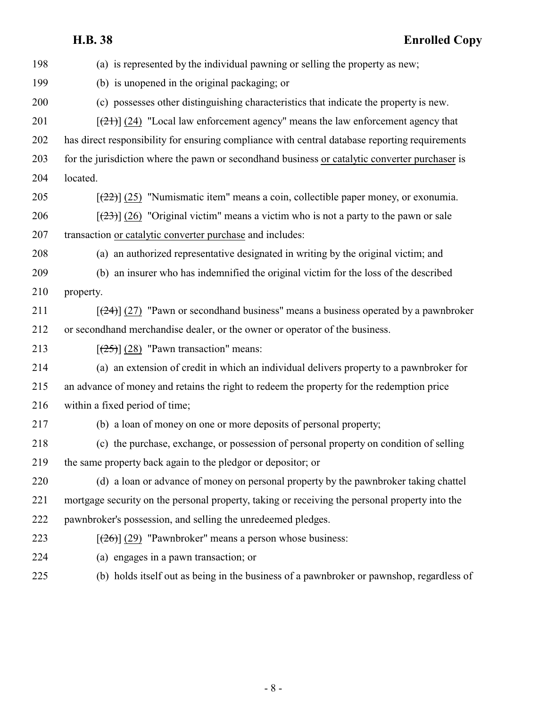|     | H.B. 38<br><b>Enrolled Copy</b>                                                                 |
|-----|-------------------------------------------------------------------------------------------------|
| 198 | (a) is represented by the individual pawning or selling the property as new;                    |
| 199 | (b) is unopened in the original packaging; or                                                   |
| 200 | (c) possesses other distinguishing characteristics that indicate the property is new.           |
| 201 | $[\frac{21}{21}]$ (24) "Local law enforcement agency" means the law enforcement agency that     |
| 202 | has direct responsibility for ensuring compliance with central database reporting requirements  |
| 203 | for the jurisdiction where the pawn or secondhand business or catalytic converter purchaser is  |
| 204 | located.                                                                                        |
| 205 | $[222]$ (25) "Numismatic item" means a coin, collectible paper money, or exonumia.              |
| 206 | $[23]$ (26) "Original victim" means a victim who is not a party to the pawn or sale             |
| 207 | transaction or catalytic converter purchase and includes:                                       |
| 208 | (a) an authorized representative designated in writing by the original victim; and              |
| 209 | (b) an insurer who has indemnified the original victim for the loss of the described            |
| 210 | property.                                                                                       |
| 211 | $[\frac{24}{2}]$ (27) "Pawn or second hand business" means a business operated by a pawn broker |
| 212 | or second hand merchandise dealer, or the owner or operator of the business.                    |
| 213 | $[\frac{(25)}{(28)}]$ (28) "Pawn transaction" means:                                            |
| 214 | (a) an extension of credit in which an individual delivers property to a pawnbroker for         |
| 215 | an advance of money and retains the right to redeem the property for the redemption price       |
| 216 | within a fixed period of time;                                                                  |
| 217 | (b) a loan of money on one or more deposits of personal property;                               |
| 218 | (c) the purchase, exchange, or possession of personal property on condition of selling          |
| 219 | the same property back again to the pledgor or depositor; or                                    |
| 220 | (d) a loan or advance of money on personal property by the pawnbroker taking chattel            |
| 221 | mortgage security on the personal property, taking or receiving the personal property into the  |
| 222 | pawnbroker's possession, and selling the unredeemed pledges.                                    |
| 223 | $[\frac{126}{2}]$ (29) "Pawnbroker" means a person whose business:                              |
| 224 | (a) engages in a pawn transaction; or                                                           |
| 225 | (b) holds itself out as being in the business of a pawnbroker or pawnshop, regardless of        |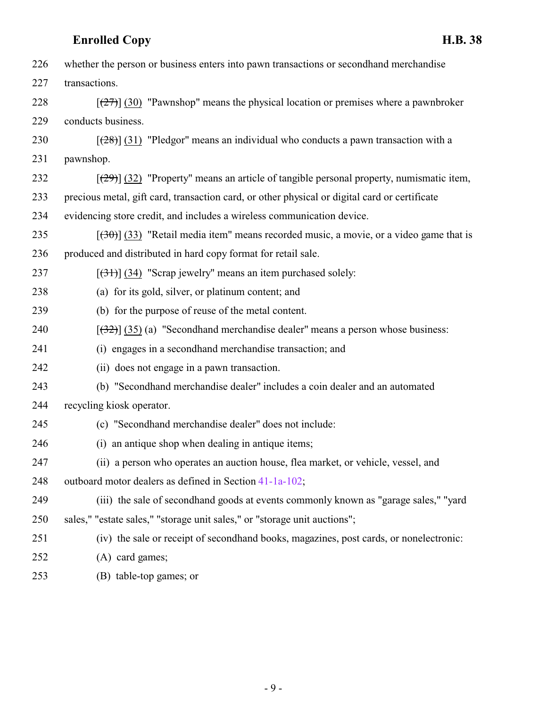| 226 | whether the person or business enters into pawn transactions or second hand merchandise       |
|-----|-----------------------------------------------------------------------------------------------|
| 227 | transactions.                                                                                 |
| 228 | $[\frac{27}{27}]$ (30) "Pawnshop" means the physical location or premises where a pawnbroker  |
| 229 | conducts business.                                                                            |
| 230 | $[28]$ (31) "Pledgor" means an individual who conducts a pawn transaction with a              |
| 231 | pawnshop.                                                                                     |
| 232 | $[29]$ (32) "Property" means an article of tangible personal property, numismatic item,       |
| 233 | precious metal, gift card, transaction card, or other physical or digital card or certificate |
| 234 | evidencing store credit, and includes a wireless communication device.                        |
| 235 | $(30)$ (33) "Retail media item" means recorded music, a movie, or a video game that is        |
| 236 | produced and distributed in hard copy format for retail sale.                                 |
| 237 | $[34]$ (34) "Scrap jewelry" means an item purchased solely:                                   |
| 238 | (a) for its gold, silver, or platinum content; and                                            |
| 239 | (b) for the purpose of reuse of the metal content.                                            |
| 240 | $[322]$ (35) (a) "Secondhand merchandise dealer" means a person whose business:               |
| 241 | (i) engages in a secondhand merchandise transaction; and                                      |
| 242 | (ii) does not engage in a pawn transaction.                                                   |
| 243 | (b) "Secondhand merchandise dealer" includes a coin dealer and an automated                   |
| 244 | recycling kiosk operator.                                                                     |
| 245 | (c) "Secondhand merchandise dealer" does not include:                                         |
| 246 | (i) an antique shop when dealing in antique items;                                            |
| 247 | (ii) a person who operates an auction house, flea market, or vehicle, vessel, and             |
| 248 | outboard motor dealers as defined in Section 41-1a-102;                                       |
| 249 | (iii) the sale of secondhand goods at events commonly known as "garage sales," "yard          |
| 250 | sales," "estate sales," "storage unit sales," or "storage unit auctions";                     |
| 251 | (iv) the sale or receipt of secondhand books, magazines, post cards, or nonelectronic:        |
| 252 | (A) card games;                                                                               |
|     |                                                                                               |

(B) table-top games; or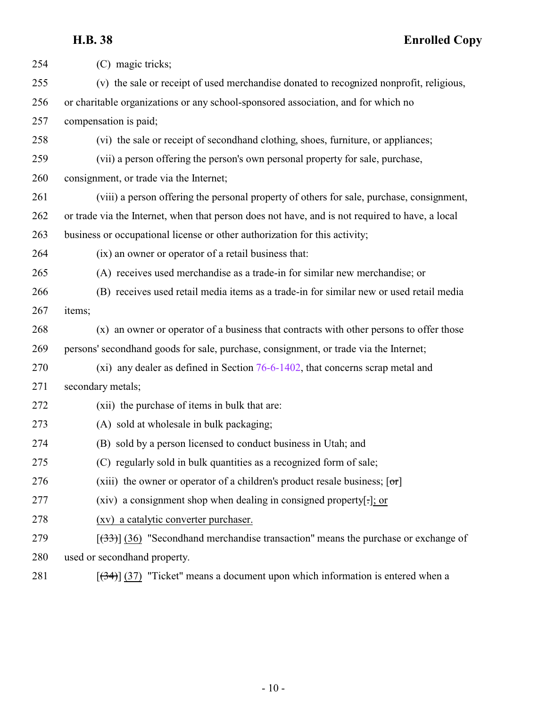| 254 | (C) magic tricks;                                                                               |
|-----|-------------------------------------------------------------------------------------------------|
| 255 | (v) the sale or receipt of used merchandise donated to recognized nonprofit, religious,         |
| 256 | or charitable organizations or any school-sponsored association, and for which no               |
| 257 | compensation is paid;                                                                           |
| 258 | (vi) the sale or receipt of secondhand clothing, shoes, furniture, or appliances;               |
| 259 | (vii) a person offering the person's own personal property for sale, purchase,                  |
| 260 | consignment, or trade via the Internet;                                                         |
| 261 | (viii) a person offering the personal property of others for sale, purchase, consignment,       |
| 262 | or trade via the Internet, when that person does not have, and is not required to have, a local |
| 263 | business or occupational license or other authorization for this activity;                      |
| 264 | (ix) an owner or operator of a retail business that:                                            |
| 265 | (A) receives used merchandise as a trade-in for similar new merchandise; or                     |
| 266 | (B) receives used retail media items as a trade-in for similar new or used retail media         |
| 267 | items;                                                                                          |
| 268 | (x) an owner or operator of a business that contracts with other persons to offer those         |
| 269 | persons' secondhand goods for sale, purchase, consignment, or trade via the Internet;           |
| 270 | (xi) any dealer as defined in Section $76-6-1402$ , that concerns scrap metal and               |
| 271 | secondary metals;                                                                               |
| 272 | (xii) the purchase of items in bulk that are:                                                   |
| 273 | (A) sold at wholesale in bulk packaging;                                                        |
| 274 | (B) sold by a person licensed to conduct business in Utah; and                                  |
| 275 | (C) regularly sold in bulk quantities as a recognized form of sale;                             |
| 276 | (xiii) the owner or operator of a children's product resale business; $[\sigma r]$              |
| 277 | (xiv) a consignment shop when dealing in consigned property[.]; or                              |
| 278 | (xv) a catalytic converter purchaser.                                                           |
| 279 | $[333]$ (36) "Secondhand merchandise transaction" means the purchase or exchange of             |
| 280 | used or secondhand property.                                                                    |
| 281 | $[34]$ (37) "Ticket" means a document upon which information is entered when a                  |

- 10 -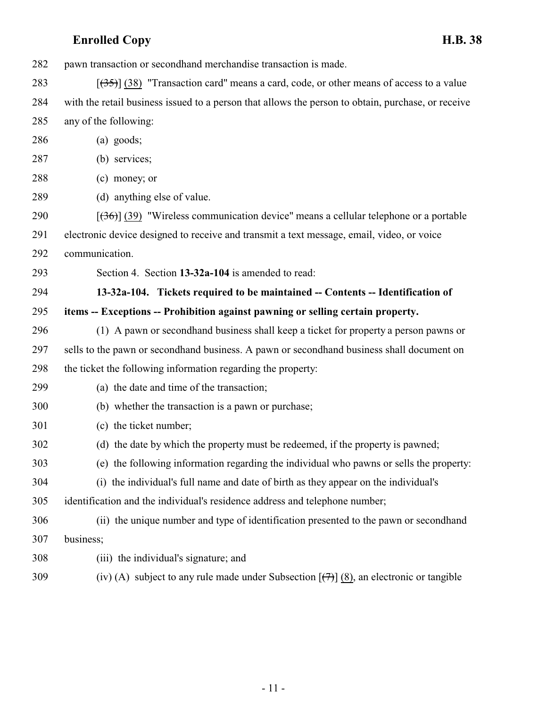pawn transaction or secondhand merchandise transaction is made.

283  $\left[\frac{(35)}{(38)}\right]$  (38) "Transaction card" means a card, code, or other means of access to a value with the retail business issued to a person that allows the person to obtain, purchase, or receive any of the following:

- (a) goods;
- (b) services;
- (c) money; or
- (d) anything else of value.

290  $\left[\left(36\right)\right]$  (39) "Wireless communication device" means a cellular telephone or a portable

electronic device designed to receive and transmit a text message, email, video, or voice

communication.

<span id="page-10-0"></span>Section 4. Section **13-32a-104** is amended to read:

 **13-32a-104. Tickets required to be maintained -- Contents -- Identification of items -- Exceptions -- Prohibition against pawning or selling certain property.**

- (1) A pawn or secondhand business shall keep a ticket for property a person pawns or sells to the pawn or secondhand business. A pawn or secondhand business shall document on the ticket the following information regarding the property:
- (a) the date and time of the transaction;
- (b) whether the transaction is a pawn or purchase;
- (c) the ticket number;
- (d) the date by which the property must be redeemed, if the property is pawned;
- (e) the following information regarding the individual who pawns or sells the property:
- (i) the individual's full name and date of birth as they appear on the individual's

identification and the individual's residence address and telephone number;

- (ii) the unique number and type of identification presented to the pawn or secondhand business;
- (iii) the individual's signature; and
- 309 (iv) (A) subject to any rule made under Subsection  $[\frac{(7)}{(8)}]$  (8), an electronic or tangible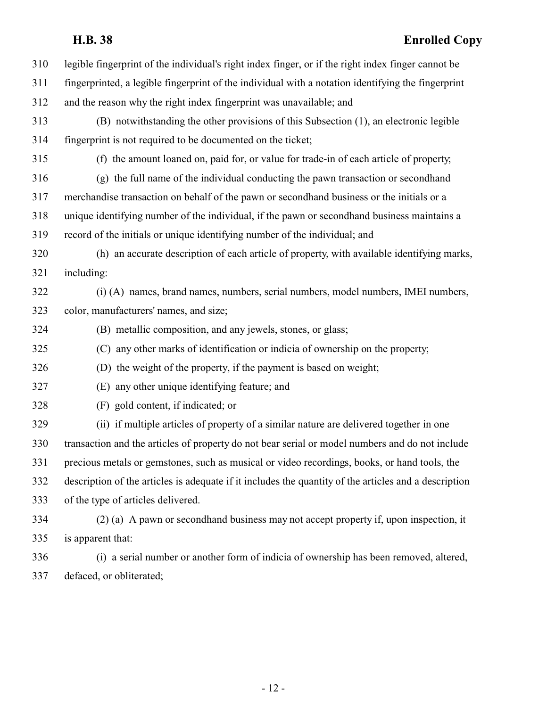| 310 | legible fingerprint of the individual's right index finger, or if the right index finger cannot be    |
|-----|-------------------------------------------------------------------------------------------------------|
| 311 | fingerprinted, a legible fingerprint of the individual with a notation identifying the fingerprint    |
| 312 | and the reason why the right index fingerprint was unavailable; and                                   |
| 313 | (B) notwithstanding the other provisions of this Subsection (1), an electronic legible                |
| 314 | fingerprint is not required to be documented on the ticket;                                           |
| 315 | (f) the amount loaned on, paid for, or value for trade-in of each article of property,                |
| 316 | (g) the full name of the individual conducting the pawn transaction or secondhand                     |
| 317 | merchandise transaction on behalf of the pawn or secondhand business or the initials or a             |
| 318 | unique identifying number of the individual, if the pawn or second hand business maintains a          |
| 319 | record of the initials or unique identifying number of the individual; and                            |
| 320 | (h) an accurate description of each article of property, with available identifying marks,            |
| 321 | including:                                                                                            |
| 322 | (i) (A) names, brand names, numbers, serial numbers, model numbers, IMEI numbers,                     |
| 323 | color, manufacturers' names, and size;                                                                |
| 324 | (B) metallic composition, and any jewels, stones, or glass;                                           |
| 325 | (C) any other marks of identification or indicia of ownership on the property;                        |
| 326 | (D) the weight of the property, if the payment is based on weight;                                    |
| 327 | (E) any other unique identifying feature; and                                                         |
| 328 | (F) gold content, if indicated; or                                                                    |
| 329 | (ii) if multiple articles of property of a similar nature are delivered together in one               |
| 330 | transaction and the articles of property do not bear serial or model numbers and do not include       |
| 331 | precious metals or gemstones, such as musical or video recordings, books, or hand tools, the          |
| 332 | description of the articles is adequate if it includes the quantity of the articles and a description |
| 333 | of the type of articles delivered.                                                                    |
| 334 | (2) (a) A pawn or second hand business may not accept property if, upon inspection, it                |
| 335 | is apparent that:                                                                                     |
| 336 | (i) a serial number or another form of indicia of ownership has been removed, altered,                |
| 337 | defaced, or obliterated;                                                                              |
|     |                                                                                                       |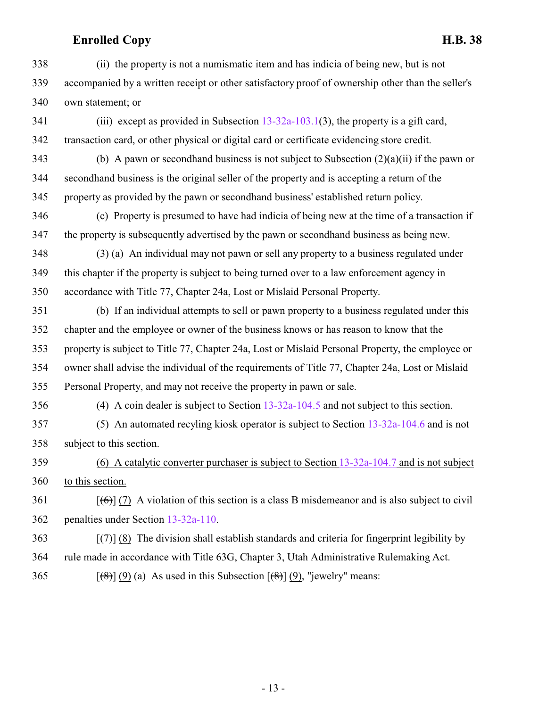(ii) the property is not a numismatic item and has indicia of being new, but is not accompanied by a written receipt or other satisfactory proof of ownership other than the seller's own statement; or

341 (iii) except as provided in Subsection [13-32a-103.1](http://le.utah.gov/UtahCode/SectionLookup.jsp?section=13-32a-103.1&session=2022GS)(3), the property is a gift card, transaction card, or other physical or digital card or certificate evidencing store credit.

343 (b) A pawn or secondhand business is not subject to Subsection  $(2)(a)(ii)$  if the pawn or secondhand business is the original seller of the property and is accepting a return of the property as provided by the pawn or secondhand business' established return policy.

 (c) Property is presumed to have had indicia of being new at the time of a transaction if the property is subsequently advertised by the pawn or secondhand business as being new.

 (3) (a) An individual may not pawn or sell any property to a business regulated under this chapter if the property is subject to being turned over to a law enforcement agency in accordance with Title 77, Chapter 24a, Lost or Mislaid Personal Property.

 (b) If an individual attempts to sell or pawn property to a business regulated under this chapter and the employee or owner of the business knows or has reason to know that the property is subject to Title 77, Chapter 24a, Lost or Mislaid Personal Property, the employee or owner shall advise the individual of the requirements of Title 77, Chapter 24a, Lost or Mislaid Personal Property, and may not receive the property in pawn or sale.

(4) A coin dealer is subject to Section [13-32a-104.5](http://le.utah.gov/UtahCode/SectionLookup.jsp?section=13-32a-104.5&session=2022GS) and not subject to this section.

 (5) An automated recyling kiosk operator is subject to Section [13-32a-104.6](http://le.utah.gov/UtahCode/SectionLookup.jsp?section=13-32a-104.6&session=2022GS) and is not subject to this section.

 (6) A catalytic converter purchaser is subject to Section [13-32a-104.7](#page-13-0) and is not subject to this section.

 [(6)] (7) A violation of this section is a class B misdemeanor and is also subject to civil penalties under Section [13-32a-110](#page-25-0).

 [(7)] (8) The division shall establish standards and criteria for fingerprint legibility by rule made in accordance with Title 63G, Chapter 3, Utah Administrative Rulemaking Act.

365  $[(8)] (9) (a)$  As used in this Subsection  $[(8)] (9)$ , "jewelry" means: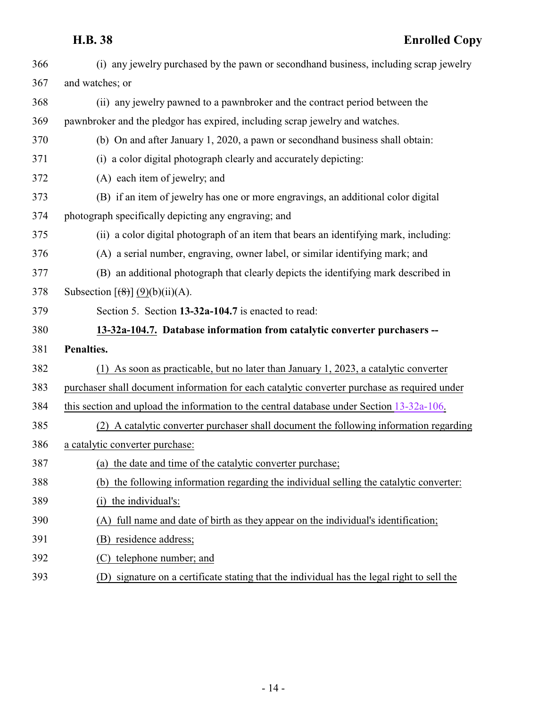<span id="page-13-0"></span>

| 366 | (i) any jewelry purchased by the pawn or second hand business, including scrap jewelry       |
|-----|----------------------------------------------------------------------------------------------|
| 367 | and watches; or                                                                              |
| 368 | (ii) any jewelry pawned to a pawnbroker and the contract period between the                  |
| 369 | pawnbroker and the pledgor has expired, including scrap jewelry and watches.                 |
| 370 | (b) On and after January 1, 2020, a pawn or second hand business shall obtain:               |
| 371 | (i) a color digital photograph clearly and accurately depicting:                             |
| 372 | (A) each item of jewelry; and                                                                |
| 373 | (B) if an item of jewelry has one or more engravings, an additional color digital            |
| 374 | photograph specifically depicting any engraving; and                                         |
| 375 | (ii) a color digital photograph of an item that bears an identifying mark, including:        |
| 376 | (A) a serial number, engraving, owner label, or similar identifying mark; and                |
| 377 | (B) an additional photograph that clearly depicts the identifying mark described in          |
| 378 | Subsection $\left[\frac{8}{3}\right]$ (9)(b)(ii)(A).                                         |
| 379 | Section 5. Section 13-32a-104.7 is enacted to read:                                          |
| 380 | 13-32a-104.7. Database information from catalytic converter purchasers --                    |
| 381 | Penalties.                                                                                   |
| 382 | (1) As soon as practicable, but no later than January 1, 2023, a catalytic converter         |
| 383 | purchaser shall document information for each catalytic converter purchase as required under |
| 384 | this section and upload the information to the central database under Section 13-32a-106.    |
| 385 | (2) A catalytic converter purchaser shall document the following information regarding       |
| 386 | a catalytic converter purchase:                                                              |
| 387 | (a) the date and time of the catalytic converter purchase;                                   |
| 388 | (b) the following information regarding the individual selling the catalytic converter:      |
| 389 | the individual's:<br>(i)                                                                     |
| 390 | full name and date of birth as they appear on the individual's identification;<br>(A)        |
| 391 | residence address;<br>(B)                                                                    |
| 392 | telephone number; and<br>(C)                                                                 |
| 393 | (D) signature on a certificate stating that the individual has the legal right to sell the   |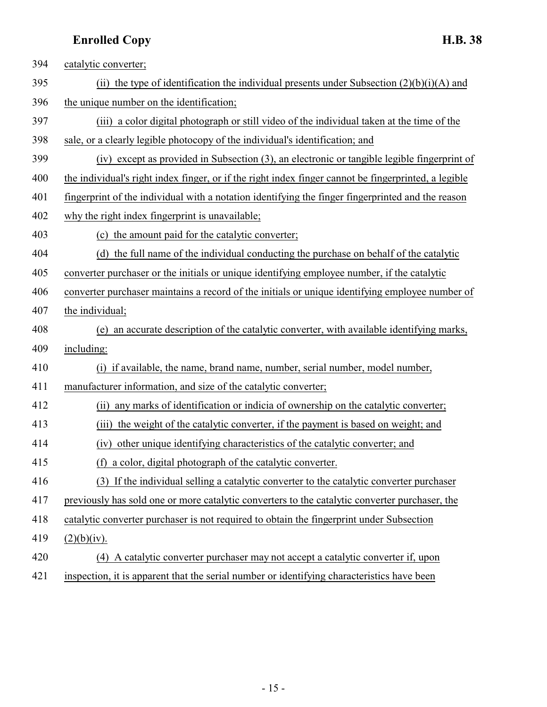| 394 | catalytic converter;                                                                                 |
|-----|------------------------------------------------------------------------------------------------------|
| 395 | (ii) the type of identification the individual presents under Subsection $(2)(b)(i)(A)$ and          |
| 396 | the unique number on the identification;                                                             |
| 397 | (iii) a color digital photograph or still video of the individual taken at the time of the           |
| 398 | sale, or a clearly legible photocopy of the individual's identification; and                         |
| 399 | (iv) except as provided in Subsection (3), an electronic or tangible legible fingerprint of          |
| 400 | the individual's right index finger, or if the right index finger cannot be fingerprinted, a legible |
| 401 | fingerprint of the individual with a notation identifying the finger fingerprinted and the reason    |
| 402 | why the right index fingerprint is unavailable;                                                      |
| 403 | (c) the amount paid for the catalytic converter;                                                     |
| 404 | (d) the full name of the individual conducting the purchase on behalf of the catalytic               |
| 405 | converter purchaser or the initials or unique identifying employee number, if the catalytic          |
| 406 | converter purchaser maintains a record of the initials or unique identifying employee number of      |
| 407 | the individual;                                                                                      |
| 408 | an accurate description of the catalytic converter, with available identifying marks,<br>(e)         |
| 409 | including:                                                                                           |
| 410 | (i) if available, the name, brand name, number, serial number, model number,                         |
| 411 | manufacturer information, and size of the catalytic converter;                                       |
| 412 | any marks of identification or indicia of ownership on the catalytic converter;<br>(ii)              |
| 413 | the weight of the catalytic converter, if the payment is based on weight; and<br>(iii)               |
| 414 | (iv) other unique identifying characteristics of the catalytic converter; and                        |
| 415 | (f) a color, digital photograph of the catalytic converter.                                          |
| 416 | (3) If the individual selling a catalytic converter to the catalytic converter purchaser             |
| 417 | previously has sold one or more catalytic converters to the catalytic converter purchaser, the       |
| 418 | catalytic converter purchaser is not required to obtain the fingerprint under Subsection             |
| 419 | (2)(b)(iv).                                                                                          |
| 420 | (4) A catalytic converter purchaser may not accept a catalytic converter if, upon                    |
| 421 | inspection, it is apparent that the serial number or identifying characteristics have been           |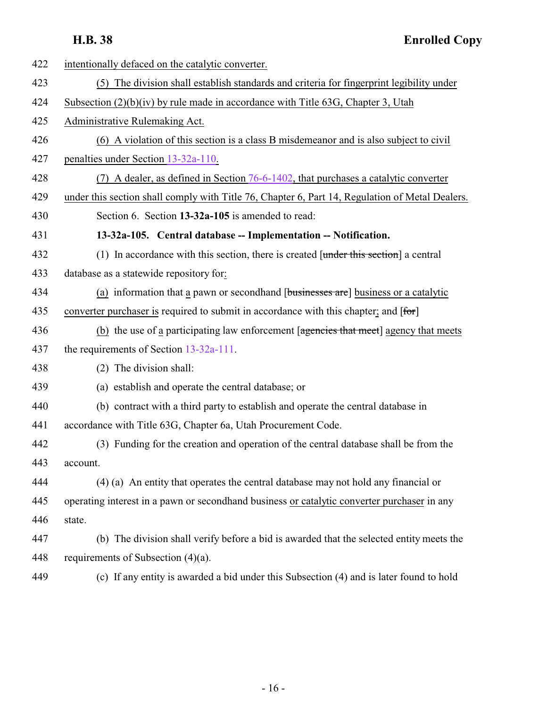<span id="page-15-0"></span>

| 422 | intentionally defaced on the catalytic converter.                                               |
|-----|-------------------------------------------------------------------------------------------------|
| 423 | (5) The division shall establish standards and criteria for fingerprint legibility under        |
| 424 | Subsection $(2)(b)(iv)$ by rule made in accordance with Title 63G, Chapter 3, Utah              |
| 425 | Administrative Rulemaking Act.                                                                  |
| 426 | (6) A violation of this section is a class B misdemeanor and is also subject to civil           |
| 427 | penalties under Section 13-32a-110.                                                             |
| 428 | (7) A dealer, as defined in Section 76-6-1402, that purchases a catalytic converter             |
| 429 | under this section shall comply with Title 76, Chapter 6, Part 14, Regulation of Metal Dealers. |
| 430 | Section 6. Section 13-32a-105 is amended to read:                                               |
| 431 | 13-32a-105. Central database -- Implementation -- Notification.                                 |
| 432 | (1) In accordance with this section, there is created $[$ under this section a central          |
| 433 | database as a statewide repository for:                                                         |
| 434 | (a) information that a pawn or second hand [businesses are] business or a catalytic             |
| 435 | converter purchaser is required to submit in accordance with this chapter; and [for]            |
| 436 | (b) the use of a participating law enforcement [agencies that meet] agency that meets           |
| 437 | the requirements of Section $13-32a-111$ .                                                      |
| 438 | (2) The division shall:                                                                         |
| 439 | (a) establish and operate the central database; or                                              |
| 440 | (b) contract with a third party to establish and operate the central database in                |
| 441 | accordance with Title 63G, Chapter 6a, Utah Procurement Code.                                   |
| 442 | (3) Funding for the creation and operation of the central database shall be from the            |
| 443 | account.                                                                                        |
| 444 | (4) (a) An entity that operates the central database may not hold any financial or              |
| 445 | operating interest in a pawn or second hand business or catalytic converter purchaser in any    |
| 446 | state.                                                                                          |
| 447 | (b) The division shall verify before a bid is awarded that the selected entity meets the        |
| 448 | requirements of Subsection $(4)(a)$ .                                                           |
| 449 | (c) If any entity is awarded a bid under this Subsection (4) and is later found to hold         |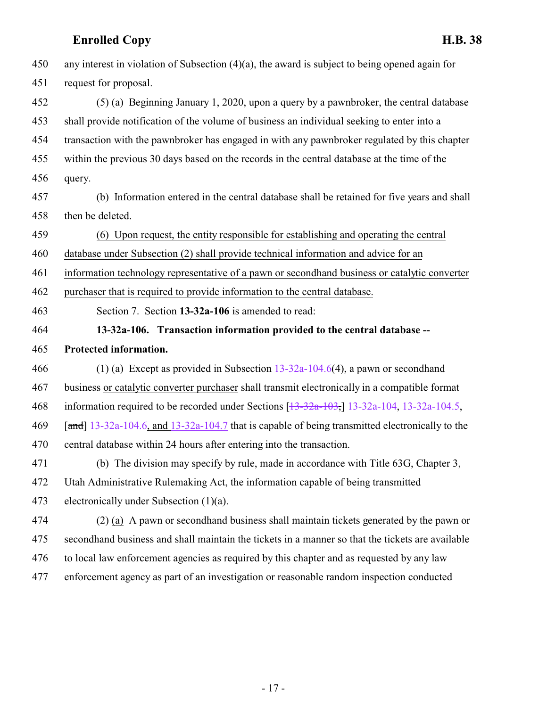<span id="page-16-0"></span>

| 450 | any interest in violation of Subsection $(4)(a)$ , the award is subject to being opened again for   |
|-----|-----------------------------------------------------------------------------------------------------|
| 451 | request for proposal.                                                                               |
| 452 | (5) (a) Beginning January 1, 2020, upon a query by a pawnbroker, the central database               |
| 453 | shall provide notification of the volume of business an individual seeking to enter into a          |
| 454 | transaction with the pawnbroker has engaged in with any pawnbroker regulated by this chapter        |
| 455 | within the previous 30 days based on the records in the central database at the time of the         |
| 456 | query.                                                                                              |
| 457 | (b) Information entered in the central database shall be retained for five years and shall          |
| 458 | then be deleted.                                                                                    |
| 459 | (6) Upon request, the entity responsible for establishing and operating the central                 |
| 460 | database under Subsection (2) shall provide technical information and advice for an                 |
| 461 | information technology representative of a pawn or second hand business or catalytic converter      |
| 462 | purchaser that is required to provide information to the central database.                          |
| 463 | Section 7. Section 13-32a-106 is amended to read:                                                   |
|     |                                                                                                     |
| 464 | 13-32a-106. Transaction information provided to the central database --                             |
| 465 | Protected information.                                                                              |
| 466 | (1) (a) Except as provided in Subsection $13-32a-104.6(4)$ , a pawn or second hand                  |
| 467 | business or catalytic converter purchaser shall transmit electronically in a compatible format      |
| 468 | information required to be recorded under Sections $[13-32a-103, 13-32a-104, 13-32a-104.5,$         |
| 469 | [ $and$ ] 13-32a-104.6, and 13-32a-104.7 that is capable of being transmitted electronically to the |
| 470 | central database within 24 hours after entering into the transaction.                               |
| 471 | (b) The division may specify by rule, made in accordance with Title 63G, Chapter 3,                 |
| 472 | Utah Administrative Rulemaking Act, the information capable of being transmitted                    |
| 473 | electronically under Subsection $(1)(a)$ .                                                          |
| 474 | (2) (a) A pawn or second hand business shall maintain tickets generated by the pawn or              |
| 475 | secondhand business and shall maintain the tickets in a manner so that the tickets are available    |
| 476 | to local law enforcement agencies as required by this chapter and as requested by any law           |
| 477 | enforcement agency as part of an investigation or reasonable random inspection conducted            |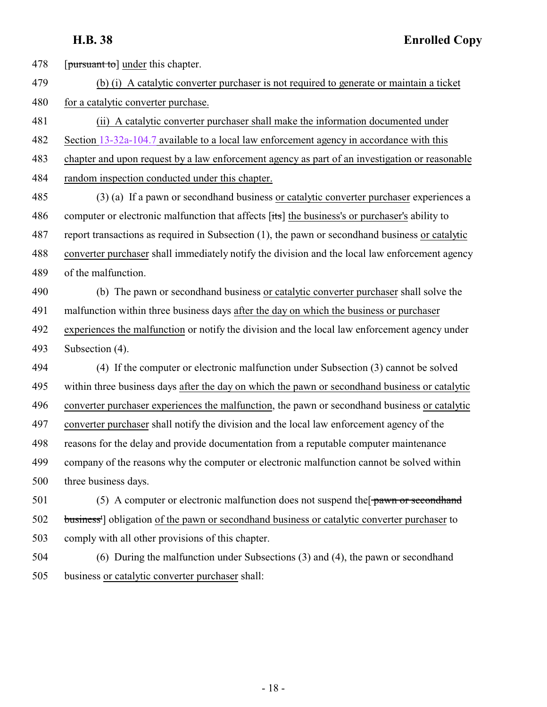478 [pursuant to] under this chapter.

 (b) (i) A catalytic converter purchaser is not required to generate or maintain a ticket 480 for a catalytic converter purchase.

 (ii) A catalytic converter purchaser shall make the information documented under Section [13-32a-104.7](#page-13-0) available to a local law enforcement agency in accordance with this chapter and upon request by a law enforcement agency as part of an investigation or reasonable

random inspection conducted under this chapter.

 (3) (a) If a pawn or secondhand business or catalytic converter purchaser experiences a 486 computer or electronic malfunction that affects [its] the business's or purchaser's ability to report transactions as required in Subsection (1), the pawn or secondhand business or catalytic converter purchaser shall immediately notify the division and the local law enforcement agency of the malfunction.

 (b) The pawn or secondhand business or catalytic converter purchaser shall solve the malfunction within three business days after the day on which the business or purchaser experiences the malfunction or notify the division and the local law enforcement agency under Subsection (4).

 (4) If the computer or electronic malfunction under Subsection (3) cannot be solved within three business days after the day on which the pawn or secondhand business or catalytic converter purchaser experiences the malfunction, the pawn or secondhand business or catalytic converter purchaser shall notify the division and the local law enforcement agency of the reasons for the delay and provide documentation from a reputable computer maintenance company of the reasons why the computer or electronic malfunction cannot be solved within three business days.

 (5) A computer or electronic malfunction does not suspend the  $\frac{1}{2}$  pawn or second hand business'] obligation of the pawn or secondhand business or catalytic converter purchaser to comply with all other provisions of this chapter.

 (6) During the malfunction under Subsections (3) and (4), the pawn or secondhand business or catalytic converter purchaser shall: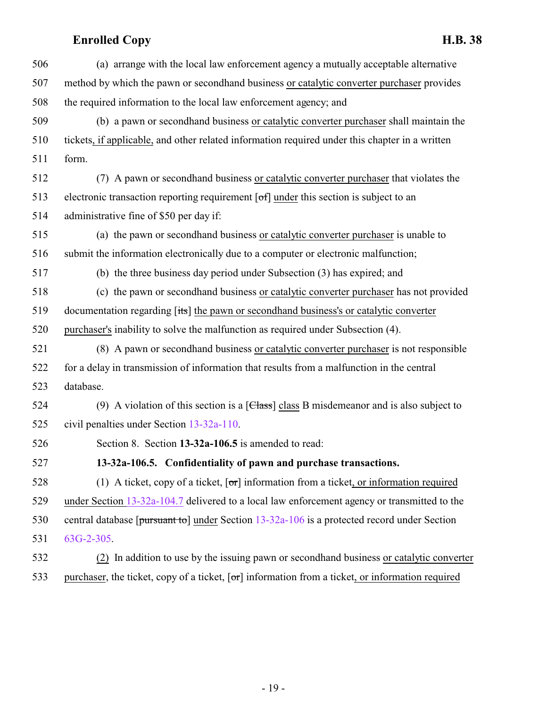| 506 | (a) arrange with the local law enforcement agency a mutually acceptable alternative                         |
|-----|-------------------------------------------------------------------------------------------------------------|
| 507 | method by which the pawn or secondhand business or catalytic converter purchaser provides                   |
| 508 | the required information to the local law enforcement agency; and                                           |
| 509 | (b) a pawn or second hand business or catalytic converter purchaser shall maintain the                      |
| 510 | tickets, if applicable, and other related information required under this chapter in a written              |
| 511 | form.                                                                                                       |
| 512 | (7) A pawn or secondhand business or catalytic converter purchaser that violates the                        |
| 513 | electronic transaction reporting requirement [of] under this section is subject to an                       |
| 514 | administrative fine of \$50 per day if:                                                                     |
| 515 | (a) the pawn or second hand business or catalytic converter purchaser is unable to                          |
| 516 | submit the information electronically due to a computer or electronic malfunction;                          |
| 517 | (b) the three business day period under Subsection (3) has expired; and                                     |
| 518 | (c) the pawn or second hand business or catalytic converter purchaser has not provided                      |
| 519 | documentation regarding [its] the pawn or second hand business's or catalytic converter                     |
| 520 | purchaser's inability to solve the malfunction as required under Subsection (4).                            |
| 521 | (8) A pawn or secondhand business or catalytic converter purchaser is not responsible                       |
| 522 | for a delay in transmission of information that results from a malfunction in the central                   |
| 523 | database.                                                                                                   |
| 524 | (9) A violation of this section is a $[Class]$ class B misdemeanor and is also subject to                   |
| 525 | civil penalties under Section 13-32a-110.                                                                   |
| 526 | Section 8. Section 13-32a-106.5 is amended to read:                                                         |
| 527 | 13-32a-106.5. Confidentiality of pawn and purchase transactions.                                            |
| 528 | (1) A ticket, copy of a ticket, $\lceil \sigma r \rceil$ information from a ticket, or information required |
| 529 | under Section 13-32a-104.7 delivered to a local law enforcement agency or transmitted to the                |
| 530 | central database [ $\frac{13}{2}$ and $\frac{13-32a-106}{2}$ is a protected record under Section            |
| 531 | $63G-2-305$ .                                                                                               |
| 532 | (2) In addition to use by the issuing pawn or secondhand business or catalytic converter                    |

<span id="page-18-0"></span>533 purchaser, the ticket, copy of a ticket, [or] information from a ticket, or information required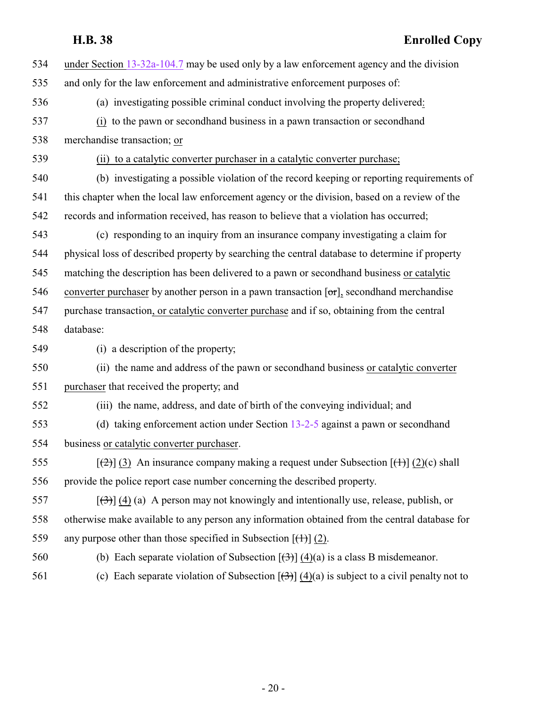| 534 | under Section $13-32a-104.7$ may be used only by a law enforcement agency and the division                  |
|-----|-------------------------------------------------------------------------------------------------------------|
| 535 | and only for the law enforcement and administrative enforcement purposes of:                                |
| 536 | (a) investigating possible criminal conduct involving the property delivered:                               |
| 537 | (i) to the pawn or second hand business in a pawn transaction or second hand                                |
| 538 | merchandise transaction; or                                                                                 |
| 539 | (ii) to a catalytic converter purchaser in a catalytic converter purchase;                                  |
| 540 | (b) investigating a possible violation of the record keeping or reporting requirements of                   |
| 541 | this chapter when the local law enforcement agency or the division, based on a review of the                |
| 542 | records and information received, has reason to believe that a violation has occurred;                      |
| 543 | (c) responding to an inquiry from an insurance company investigating a claim for                            |
| 544 | physical loss of described property by searching the central database to determine if property              |
| 545 | matching the description has been delivered to a pawn or second hand business or catalytic                  |
| 546 | converter purchaser by another person in a pawn transaction $[\sigma r]$ , second hand merchandise          |
| 547 | purchase transaction, or catalytic converter purchase and if so, obtaining from the central                 |
| 548 | database:                                                                                                   |
| 549 | (i) a description of the property;                                                                          |
| 550 | (ii) the name and address of the pawn or secondhand business or catalytic converter                         |
| 551 | purchaser that received the property; and                                                                   |
| 552 | (iii) the name, address, and date of birth of the conveying individual; and                                 |
| 553 | (d) taking enforcement action under Section $13-2-5$ against a pawn or second hand                          |
| 554 | business or catalytic converter purchaser.                                                                  |
| 555 | $[\frac{1}{2}]$ (3) An insurance company making a request under Subsection $[\frac{1}{2}]$ (2)(c) shall     |
| 556 | provide the police report case number concerning the described property.                                    |
| 557 | $[\left(\frac{1}{2}\right)]$ (4) (a) A person may not knowingly and intentionally use, release, publish, or |
| 558 | otherwise make available to any person any information obtained from the central database for               |
| 559 | any purpose other than those specified in Subsection $[\left(\frac{1}{1}\right)]$ (2).                      |
| 560 | (b) Each separate violation of Subsection $[\frac{(\lambda)}{(\lambda)}](4)(a)$ is a class B misdemeanor.   |
| 561 | (c) Each separate violation of Subsection $[\frac{3}{3}]$ (4)(a) is subject to a civil penalty not to       |
|     |                                                                                                             |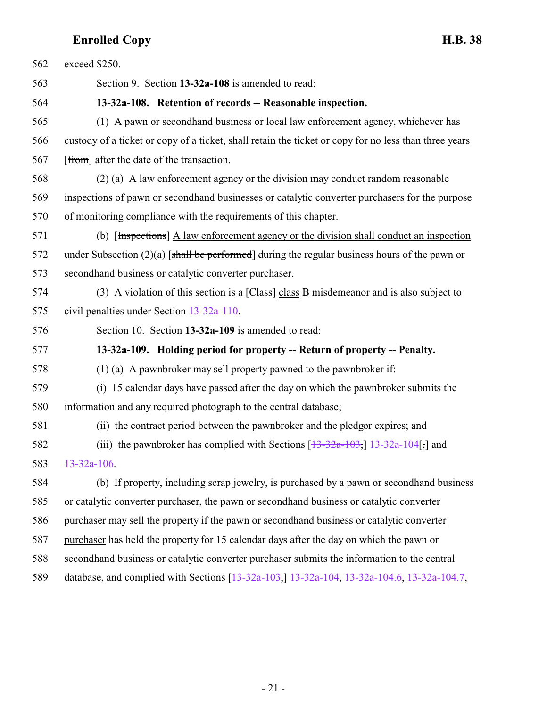<span id="page-20-1"></span><span id="page-20-0"></span>

| 562 | exceed \$250.                                                                                         |
|-----|-------------------------------------------------------------------------------------------------------|
| 563 | Section 9. Section 13-32a-108 is amended to read:                                                     |
| 564 | 13-32a-108. Retention of records -- Reasonable inspection.                                            |
| 565 | (1) A pawn or second hand business or local law enforcement agency, whichever has                     |
| 566 | custody of a ticket or copy of a ticket, shall retain the ticket or copy for no less than three years |
| 567 | [from] after the date of the transaction.                                                             |
| 568 | (2) (a) A law enforcement agency or the division may conduct random reasonable                        |
| 569 | inspections of pawn or secondhand businesses or catalytic converter purchasers for the purpose        |
| 570 | of monitoring compliance with the requirements of this chapter.                                       |
| 571 | (b) [Inspections] A law enforcement agency or the division shall conduct an inspection                |
| 572 | under Subsection $(2)(a)$ [shall be performed] during the regular business hours of the pawn or       |
| 573 | secondhand business or catalytic converter purchaser.                                                 |
| 574 | (3) A violation of this section is a $[Class]$ class B misdemeanor and is also subject to             |
| 575 | civil penalties under Section 13-32a-110.                                                             |
| 576 | Section 10. Section 13-32a-109 is amended to read:                                                    |
| 577 | 13-32a-109. Holding period for property -- Return of property -- Penalty.                             |
| 578 | $(1)$ (a) A pawnbroker may sell property pawned to the pawnbroker if:                                 |
| 579 | (i) 15 calendar days have passed after the day on which the pawnbroker submits the                    |
| 580 | information and any required photograph to the central database;                                      |
| 581 | (ii) the contract period between the pawnbroker and the pledgor expires; and                          |
| 582 | (iii) the pawnbroker has complied with Sections $[\frac{13-32a-103}{13-32a-104}]$ and                 |
| 583 | $13 - 32a - 106$ .                                                                                    |
| 584 | (b) If property, including scrap jewelry, is purchased by a pawn or second hand business              |
| 585 | or catalytic converter purchaser, the pawn or second hand business or catalytic converter             |
| 586 | purchaser may sell the property if the pawn or second hand business or catalytic converter            |
| 587 | purchaser has held the property for 15 calendar days after the day on which the pawn or               |
| 588 | second hand business or catalytic converter purchaser submits the information to the central          |
| 589 | database, and complied with Sections $[13-32a-103, 13-32a-104, 13-32a-104.6, 13-32a-104.7]$           |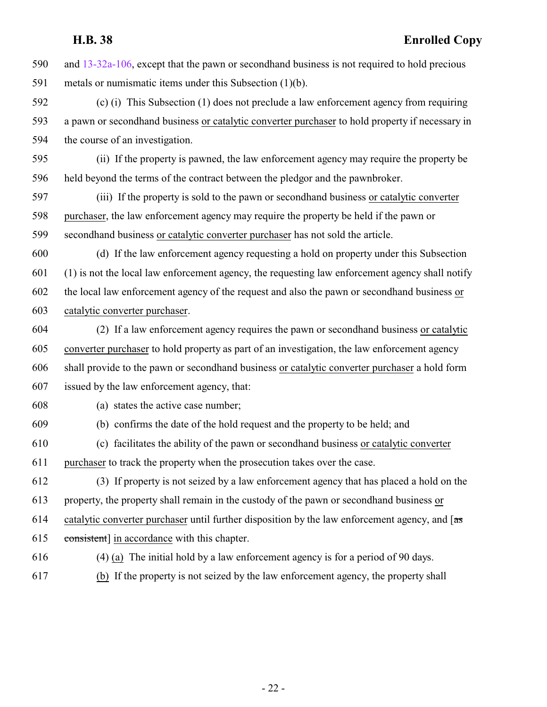and [13-32a-106](#page-16-0), except that the pawn or secondhand business is not required to hold precious metals or numismatic items under this Subsection (1)(b).

 (c) (i) This Subsection (1) does not preclude a law enforcement agency from requiring a pawn or secondhand business or catalytic converter purchaser to hold property if necessary in the course of an investigation.

 (ii) If the property is pawned, the law enforcement agency may require the property be held beyond the terms of the contract between the pledgor and the pawnbroker.

 (iii) If the property is sold to the pawn or secondhand business or catalytic converter purchaser, the law enforcement agency may require the property be held if the pawn or secondhand business or catalytic converter purchaser has not sold the article.

 (d) If the law enforcement agency requesting a hold on property under this Subsection (1) is not the local law enforcement agency, the requesting law enforcement agency shall notify the local law enforcement agency of the request and also the pawn or secondhand business or catalytic converter purchaser.

 (2) If a law enforcement agency requires the pawn or secondhand business or catalytic converter purchaser to hold property as part of an investigation, the law enforcement agency shall provide to the pawn or secondhand business or catalytic converter purchaser a hold form issued by the law enforcement agency, that:

(a) states the active case number;

(b) confirms the date of the hold request and the property to be held; and

 (c) facilitates the ability of the pawn or secondhand business or catalytic converter purchaser to track the property when the prosecution takes over the case.

 (3) If property is not seized by a law enforcement agency that has placed a hold on the property, the property shall remain in the custody of the pawn or secondhand business or 614 catalytic converter purchaser until further disposition by the law enforcement agency, and  $\sqrt{a}$ consistent] in accordance with this chapter.

(4) (a) The initial hold by a law enforcement agency is for a period of 90 days.

(b) If the property is not seized by the law enforcement agency, the property shall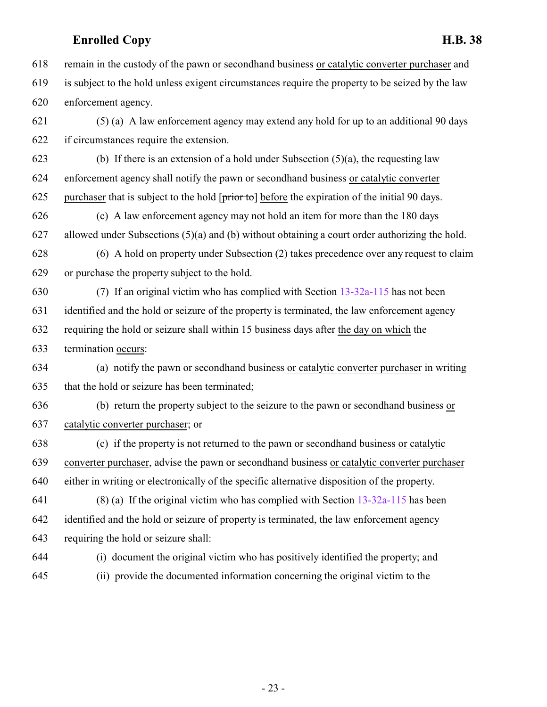remain in the custody of the pawn or secondhand business or catalytic converter purchaser and is subject to the hold unless exigent circumstances require the property to be seized by the law enforcement agency.

 (5) (a) A law enforcement agency may extend any hold for up to an additional 90 days if circumstances require the extension.

623 (b) If there is an extension of a hold under Subsection  $(5)(a)$ , the requesting law enforcement agency shall notify the pawn or secondhand business or catalytic converter 625 purchaser that is subject to the hold  $[\text{prior to}]$  before the expiration of the initial 90 days.

 (c) A law enforcement agency may not hold an item for more than the 180 days allowed under Subsections (5)(a) and (b) without obtaining a court order authorizing the hold.

 (6) A hold on property under Subsection (2) takes precedence over any request to claim or purchase the property subject to the hold.

 (7) If an original victim who has complied with Section [13-32a-115](#page-30-1) has not been identified and the hold or seizure of the property is terminated, the law enforcement agency requiring the hold or seizure shall within 15 business days after the day on which the termination occurs:

 (a) notify the pawn or secondhand business or catalytic converter purchaser in writing that the hold or seizure has been terminated;

 (b) return the property subject to the seizure to the pawn or secondhand business or catalytic converter purchaser; or

 (c) if the property is not returned to the pawn or secondhand business or catalytic converter purchaser, advise the pawn or secondhand business or catalytic converter purchaser either in writing or electronically of the specific alternative disposition of the property.

 (8) (a) If the original victim who has complied with Section [13-32a-115](#page-30-1) has been identified and the hold or seizure of property is terminated, the law enforcement agency requiring the hold or seizure shall:

(i) document the original victim who has positively identified the property; and

(ii) provide the documented information concerning the original victim to the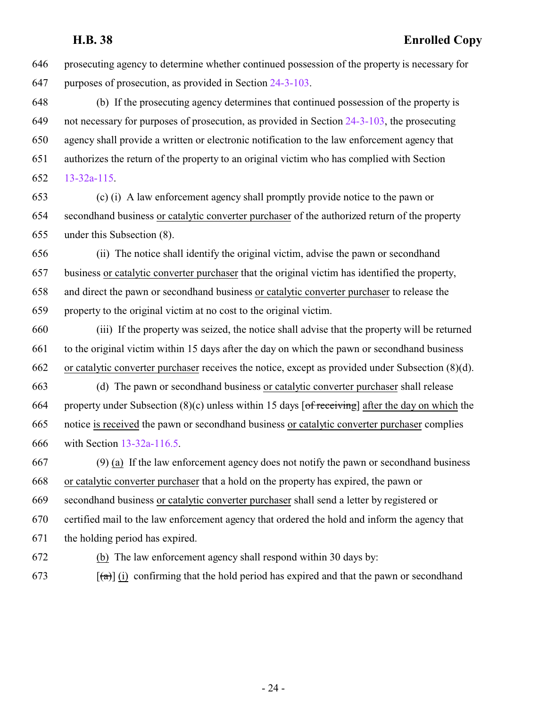prosecuting agency to determine whether continued possession of the property is necessary for purposes of prosecution, as provided in Section [24-3-103](http://le.utah.gov/UtahCode/SectionLookup.jsp?section=24-3-103&session=2022GS).

 (b) If the prosecuting agency determines that continued possession of the property is not necessary for purposes of prosecution, as provided in Section [24-3-103](http://le.utah.gov/UtahCode/SectionLookup.jsp?section=24-3-103&session=2022GS), the prosecuting agency shall provide a written or electronic notification to the law enforcement agency that authorizes the return of the property to an original victim who has complied with Section [13-32a-115](#page-30-1).

 (c) (i) A law enforcement agency shall promptly provide notice to the pawn or secondhand business or catalytic converter purchaser of the authorized return of the property under this Subsection (8).

 (ii) The notice shall identify the original victim, advise the pawn or secondhand business or catalytic converter purchaser that the original victim has identified the property, and direct the pawn or secondhand business or catalytic converter purchaser to release the property to the original victim at no cost to the original victim.

 (iii) If the property was seized, the notice shall advise that the property will be returned to the original victim within 15 days after the day on which the pawn or secondhand business or catalytic converter purchaser receives the notice, except as provided under Subsection (8)(d).

 (d) The pawn or secondhand business or catalytic converter purchaser shall release 664 property under Subsection  $(8)(c)$  unless within 15 days  $\lceil$  of receiving] after the day on which the notice is received the pawn or secondhand business or catalytic converter purchaser complies with Section [13-32a-116.5](#page-32-1).

 (9) (a) If the law enforcement agency does not notify the pawn or secondhand business or catalytic converter purchaser that a hold on the property has expired, the pawn or secondhand business or catalytic converter purchaser shall send a letter by registered or certified mail to the law enforcement agency that ordered the hold and inform the agency that the holding period has expired.

(b) The law enforcement agency shall respond within 30 days by:

 $[4673]$  [(a)] (i) confirming that the hold period has expired and that the pawn or secondhand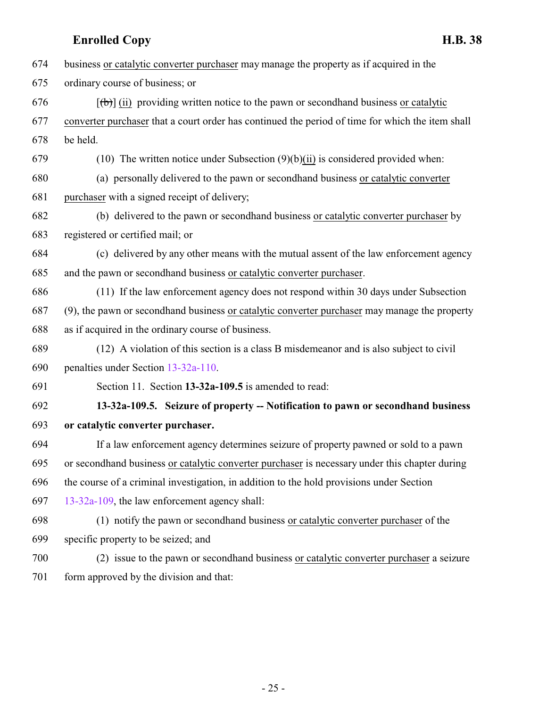- business or catalytic converter purchaser may manage the property as if acquired in the ordinary course of business; or 676  $\left[\left(\frac{1}{b}\right)\right]$  (ii) providing written notice to the pawn or secondhand business or catalytic converter purchaser that a court order has continued the period of time for which the item shall be held.
- 679 (10) The written notice under Subsection  $(9)(b)(ii)$  is considered provided when:
- (a) personally delivered to the pawn or secondhand business or catalytic converter
- purchaser with a signed receipt of delivery;
- (b) delivered to the pawn or secondhand business or catalytic converter purchaser by registered or certified mail; or
- (c) delivered by any other means with the mutual assent of the law enforcement agency and the pawn or secondhand business or catalytic converter purchaser.
- (11) If the law enforcement agency does not respond within 30 days under Subsection
- (9), the pawn or secondhand business or catalytic converter purchaser may manage the property
- as if acquired in the ordinary course of business.
- (12) A violation of this section is a class B misdemeanor and is also subject to civil penalties under Section [13-32a-110](#page-25-0).
- <span id="page-24-0"></span>Section 11. Section **13-32a-109.5** is amended to read:
- **13-32a-109.5. Seizure of property -- Notification to pawn or secondhand business or catalytic converter purchaser.**
- If a law enforcement agency determines seizure of property pawned or sold to a pawn or secondhand business or catalytic converter purchaser is necessary under this chapter during the course of a criminal investigation, in addition to the hold provisions under Section [13-32a-109](#page-20-1), the law enforcement agency shall:
- (1) notify the pawn or secondhand business or catalytic converter purchaser of the specific property to be seized; and
- (2) issue to the pawn or secondhand business or catalytic converter purchaser a seizure form approved by the division and that: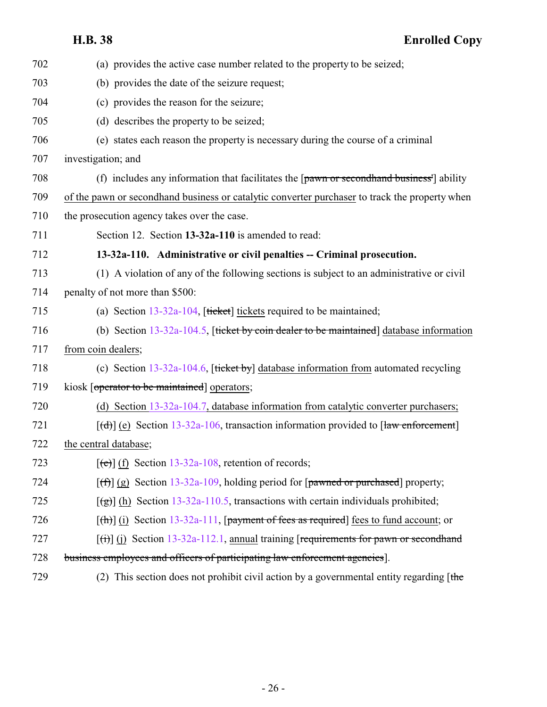<span id="page-25-0"></span>

| 702 | (a) provides the active case number related to the property to be seized;                                    |
|-----|--------------------------------------------------------------------------------------------------------------|
| 703 | (b) provides the date of the seizure request;                                                                |
| 704 | (c) provides the reason for the seizure;                                                                     |
| 705 | (d) describes the property to be seized;                                                                     |
| 706 | (e) states each reason the property is necessary during the course of a criminal                             |
| 707 | investigation; and                                                                                           |
| 708 | (f) includes any information that facilitates the $\lceil$ pawn or second hand business <sup>1</sup> ability |
| 709 | of the pawn or second hand business or catalytic converter purchaser to track the property when              |
| 710 | the prosecution agency takes over the case.                                                                  |
| 711 | Section 12. Section 13-32a-110 is amended to read:                                                           |
| 712 | 13-32a-110. Administrative or civil penalties -- Criminal prosecution.                                       |
| 713 | (1) A violation of any of the following sections is subject to an administrative or civil                    |
| 714 | penalty of not more than \$500:                                                                              |
| 715 | (a) Section $13-32a-104$ , [ticket] tickets required to be maintained;                                       |
| 716 | (b) Section $13-32a-104.5$ , [ticket by coin dealer to be maintained] database information                   |
| 717 | from coin dealers;                                                                                           |
| 718 | (c) Section $13-32a-104.6$ , [ticket by] database information from automated recycling                       |
| 719 | kiosk [operator to be maintained] operators;                                                                 |
| 720 | (d) Section 13-32a-104.7, database information from catalytic converter purchasers;                          |
| 721 | $[\text{(\text{d})}]$ (e) Section 13-32a-106, transaction information provided to [law enforcement]          |
| 722 | the central database;                                                                                        |
| 723 | $[\text{(\texttt{e})}]$ (f) Section 13-32a-108, retention of records;                                        |
| 724 | $[f(f)]$ (g) Section 13-32a-109, holding period for [pawned or purchased] property;                          |
| 725 | $[\frac{1}{2}]$ (h) Section 13-32a-110.5, transactions with certain individuals prohibited;                  |
| 726 | $[\text{fh}]$ (i) Section 13-32a-111, [payment of fees as required] fees to fund account; or                 |
| 727 | $[\text{ (i)}]$ (i) Section 13-32a-112.1, annual training [requirements for pawn or second hand              |
| 728 | business employees and officers of participating law enforcement agencies].                                  |
| 729 | (2) This section does not prohibit civil action by a governmental entity regarding $[$ the                   |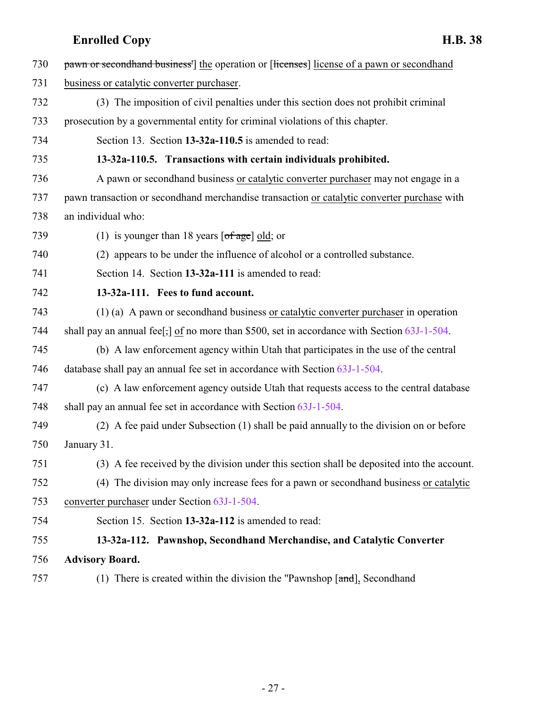<span id="page-26-2"></span><span id="page-26-1"></span><span id="page-26-0"></span>

| 730 | pawn or second hand business <sup>1</sup> the operation or [licenses] license of a pawn or second hand |
|-----|--------------------------------------------------------------------------------------------------------|
| 731 | business or catalytic converter purchaser.                                                             |
| 732 | (3) The imposition of civil penalties under this section does not prohibit criminal                    |
| 733 | prosecution by a governmental entity for criminal violations of this chapter.                          |
| 734 | Section 13. Section 13-32a-110.5 is amended to read:                                                   |
| 735 | 13-32a-110.5. Transactions with certain individuals prohibited.                                        |
| 736 | A pawn or secondhand business or catalytic converter purchaser may not engage in a                     |
| 737 | pawn transaction or secondhand merchandise transaction or catalytic converter purchase with            |
| 738 | an individual who:                                                                                     |
| 739 | (1) is younger than 18 years $\lceil \text{of age} \rceil$ old; or                                     |
| 740 | (2) appears to be under the influence of alcohol or a controlled substance.                            |
| 741 | Section 14. Section 13-32a-111 is amended to read:                                                     |
| 742 | 13-32a-111. Fees to fund account.                                                                      |
| 743 | (1) (a) A pawn or second hand business or catalytic converter purchaser in operation                   |
| 744 | shall pay an annual fee[,] of no more than \$500, set in accordance with Section $63J-1-504$ .         |
| 745 | (b) A law enforcement agency within Utah that participates in the use of the central                   |
| 746 | database shall pay an annual fee set in accordance with Section 63J-1-504.                             |
| 747 | (c) A law enforcement agency outside Utah that requests access to the central database                 |
| 748 | shall pay an annual fee set in accordance with Section 63J-1-504.                                      |
| 749 | (2) A fee paid under Subsection (1) shall be paid annually to the division on or before                |
| 750 | January 31.                                                                                            |
| 751 | (3) A fee received by the division under this section shall be deposited into the account.             |
| 752 | (4) The division may only increase fees for a pawn or second hand business or catalytic                |
| 753 | converter purchaser under Section 63J-1-504.                                                           |
| 754 | Section 15. Section 13-32a-112 is amended to read:                                                     |
| 755 | 13-32a-112. Pawnshop, Secondhand Merchandise, and Catalytic Converter                                  |
| 756 | <b>Advisory Board.</b>                                                                                 |
| 757 | (1) There is created within the division the "Pawnshop $[\text{and}],$ Secondhand                      |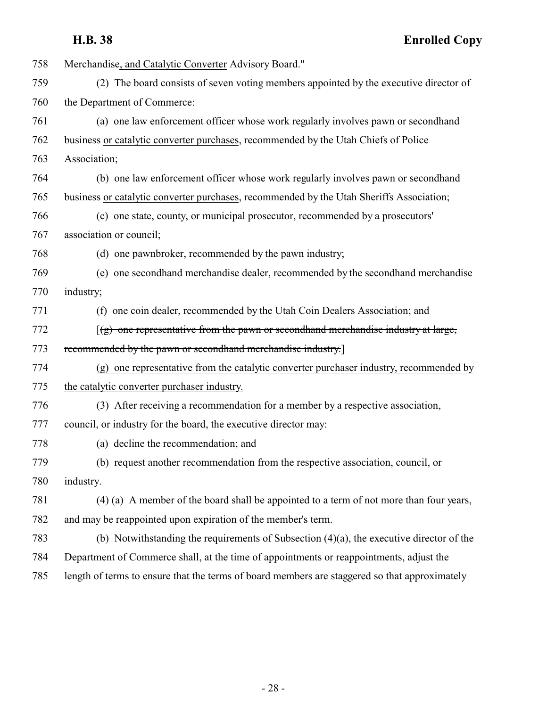| 758 | Merchandise, and Catalytic Converter Advisory Board."                                         |
|-----|-----------------------------------------------------------------------------------------------|
| 759 | (2) The board consists of seven voting members appointed by the executive director of         |
| 760 | the Department of Commerce:                                                                   |
| 761 | (a) one law enforcement officer whose work regularly involves pawn or secondhand              |
| 762 | business or catalytic converter purchases, recommended by the Utah Chiefs of Police           |
| 763 | Association;                                                                                  |
| 764 | (b) one law enforcement officer whose work regularly involves pawn or secondhand              |
| 765 | business or catalytic converter purchases, recommended by the Utah Sheriffs Association;      |
| 766 | (c) one state, county, or municipal prosecutor, recommended by a prosecutors'                 |
| 767 | association or council;                                                                       |
| 768 | (d) one pawnbroker, recommended by the pawn industry;                                         |
| 769 | (e) one second hand merchandise dealer, recommended by the second hand merchandise            |
| 770 | industry;                                                                                     |
| 771 | (f) one coin dealer, recommended by the Utah Coin Dealers Association; and                    |
| 772 | $(g)$ one representative from the pawn or secondhand merchandise industry at large,           |
| 773 | recommended by the pawn or secondhand merchandise industry.]                                  |
| 774 | (g) one representative from the catalytic converter purchaser industry, recommended by        |
| 775 | the catalytic converter purchaser industry.                                                   |
| 776 | (3) After receiving a recommendation for a member by a respective association,                |
| 777 | council, or industry for the board, the executive director may:                               |
| 778 | (a) decline the recommendation; and                                                           |
| 779 | (b) request another recommendation from the respective association, council, or               |
| 780 | industry.                                                                                     |
| 781 | (4) (a) A member of the board shall be appointed to a term of not more than four years,       |
| 782 | and may be reappointed upon expiration of the member's term.                                  |
| 783 | (b) Notwithstanding the requirements of Subsection $(4)(a)$ , the executive director of the   |
| 784 | Department of Commerce shall, at the time of appointments or reappointments, adjust the       |
| 785 | length of terms to ensure that the terms of board members are staggered so that approximately |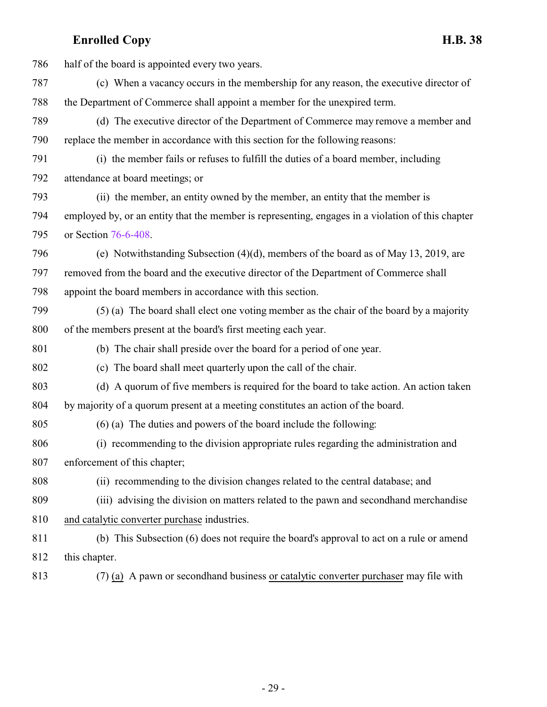| 786 | half of the board is appointed every two years.                                                   |
|-----|---------------------------------------------------------------------------------------------------|
| 787 | (c) When a vacancy occurs in the membership for any reason, the executive director of             |
| 788 | the Department of Commerce shall appoint a member for the unexpired term.                         |
| 789 | (d) The executive director of the Department of Commerce may remove a member and                  |
| 790 | replace the member in accordance with this section for the following reasons:                     |
| 791 | (i) the member fails or refuses to fulfill the duties of a board member, including                |
| 792 | attendance at board meetings; or                                                                  |
| 793 | (ii) the member, an entity owned by the member, an entity that the member is                      |
| 794 | employed by, or an entity that the member is representing, engages in a violation of this chapter |
| 795 | or Section 76-6-408.                                                                              |
| 796 | (e) Notwithstanding Subsection $(4)(d)$ , members of the board as of May 13, 2019, are            |
| 797 | removed from the board and the executive director of the Department of Commerce shall             |
| 798 | appoint the board members in accordance with this section.                                        |
| 799 | (5) (a) The board shall elect one voting member as the chair of the board by a majority           |
| 800 | of the members present at the board's first meeting each year.                                    |
| 801 | (b) The chair shall preside over the board for a period of one year.                              |
| 802 | (c) The board shall meet quarterly upon the call of the chair.                                    |
| 803 | (d) A quorum of five members is required for the board to take action. An action taken            |
| 804 | by majority of a quorum present at a meeting constitutes an action of the board.                  |
| 805 | $(6)$ (a) The duties and powers of the board include the following:                               |
| 806 | (i) recommending to the division appropriate rules regarding the administration and               |
| 807 | enforcement of this chapter;                                                                      |
| 808 | (ii) recommending to the division changes related to the central database; and                    |
| 809 | (iii) advising the division on matters related to the pawn and secondhand merchandise             |
| 810 | and catalytic converter purchase industries.                                                      |
| 811 | (b) This Subsection (6) does not require the board's approval to act on a rule or amend           |
| 812 | this chapter.                                                                                     |
| 813 | $(7)$ (a) A pawn or second hand business or catalytic converter purchaser may file with           |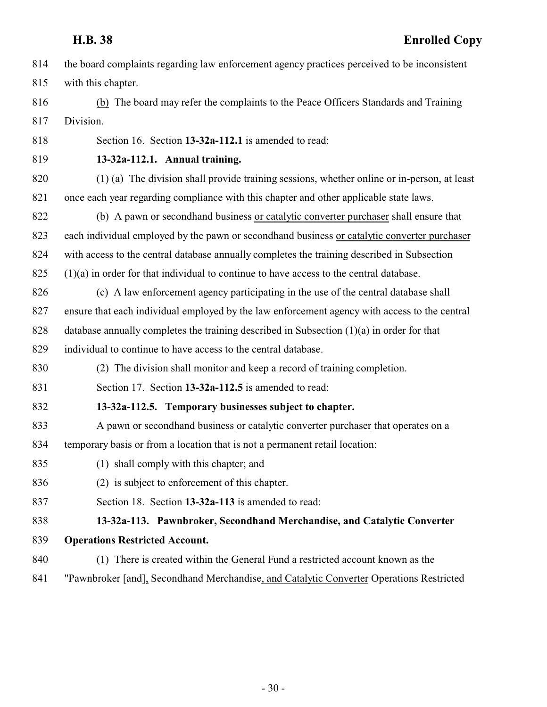- the board complaints regarding law enforcement agency practices perceived to be inconsistent with this chapter.
- (b) The board may refer the complaints to the Peace Officers Standards and Training Division.

<span id="page-29-0"></span>Section 16. Section **13-32a-112.1** is amended to read:

**13-32a-112.1. Annual training.**

- (1) (a) The division shall provide training sessions, whether online or in-person, at least once each year regarding compliance with this chapter and other applicable state laws.
- (b) A pawn or secondhand business or catalytic converter purchaser shall ensure that each individual employed by the pawn or secondhand business or catalytic converter purchaser with access to the central database annually completes the training described in Subsection
- (1)(a) in order for that individual to continue to have access to the central database.
- (c) A law enforcement agency participating in the use of the central database shall ensure that each individual employed by the law enforcement agency with access to the central database annually completes the training described in Subsection (1)(a) in order for that
- individual to continue to have access to the central database.
- (2) The division shall monitor and keep a record of training completion.
- <span id="page-29-1"></span>Section 17. Section **13-32a-112.5** is amended to read:
- **13-32a-112.5. Temporary businesses subject to chapter.**
- A pawn or secondhand business or catalytic converter purchaser that operates on a temporary basis or from a location that is not a permanent retail location:
- (1) shall comply with this chapter; and
- (2) is subject to enforcement of this chapter.
- <span id="page-29-2"></span>Section 18. Section **13-32a-113** is amended to read:
- **13-32a-113. Pawnbroker, Secondhand Merchandise, and Catalytic Converter Operations Restricted Account.**
- (1) There is created within the General Fund a restricted account known as the
- 841 "Pawnbroker [and], Secondhand Merchandise, and Catalytic Converter Operations Restricted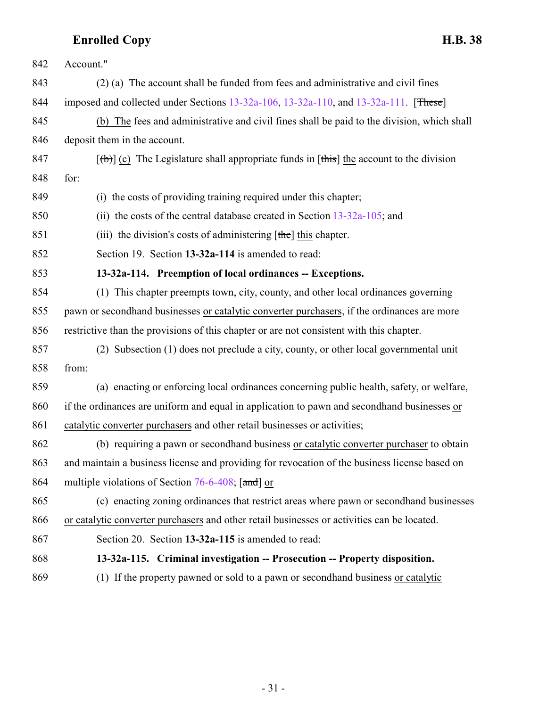<span id="page-30-1"></span><span id="page-30-0"></span>

| 842 | Account."                                                                                     |
|-----|-----------------------------------------------------------------------------------------------|
| 843 | (2) (a) The account shall be funded from fees and administrative and civil fines              |
| 844 | imposed and collected under Sections 13-32a-106, 13-32a-110, and 13-32a-111. [These]          |
| 845 | (b) The fees and administrative and civil fines shall be paid to the division, which shall    |
| 846 | deposit them in the account.                                                                  |
| 847 | $[\theta]$ (c) The Legislature shall appropriate funds in [this] the account to the division  |
| 848 | for:                                                                                          |
| 849 | (i) the costs of providing training required under this chapter;                              |
| 850 | (ii) the costs of the central database created in Section $13-32a-105$ ; and                  |
| 851 | (iii) the division's costs of administering $[the]$ this chapter.                             |
| 852 | Section 19. Section 13-32a-114 is amended to read:                                            |
| 853 | 13-32a-114. Preemption of local ordinances -- Exceptions.                                     |
| 854 | (1) This chapter preempts town, city, county, and other local ordinances governing            |
| 855 | pawn or secondhand businesses or catalytic converter purchasers, if the ordinances are more   |
| 856 | restrictive than the provisions of this chapter or are not consistent with this chapter.      |
| 857 | (2) Subsection (1) does not preclude a city, county, or other local governmental unit         |
| 858 | from:                                                                                         |
| 859 | (a) enacting or enforcing local ordinances concerning public health, safety, or welfare,      |
| 860 | if the ordinances are uniform and equal in application to pawn and secondhand businesses or   |
| 861 | catalytic converter purchasers and other retail businesses or activities;                     |
| 862 | (b) requiring a pawn or secondhand business or catalytic converter purchaser to obtain        |
| 863 | and maintain a business license and providing for revocation of the business license based on |
| 864 | multiple violations of Section 76-6-408; [and] or                                             |
| 865 | (c) enacting zoning ordinances that restrict areas where pawn or second hand businesses       |
| 866 | or catalytic converter purchasers and other retail businesses or activities can be located.   |
| 867 | Section 20. Section 13-32a-115 is amended to read:                                            |
| 868 | 13-32a-115. Criminal investigation -- Prosecution -- Property disposition.                    |
| 869 | (1) If the property pawned or sold to a pawn or secondhand business or catalytic              |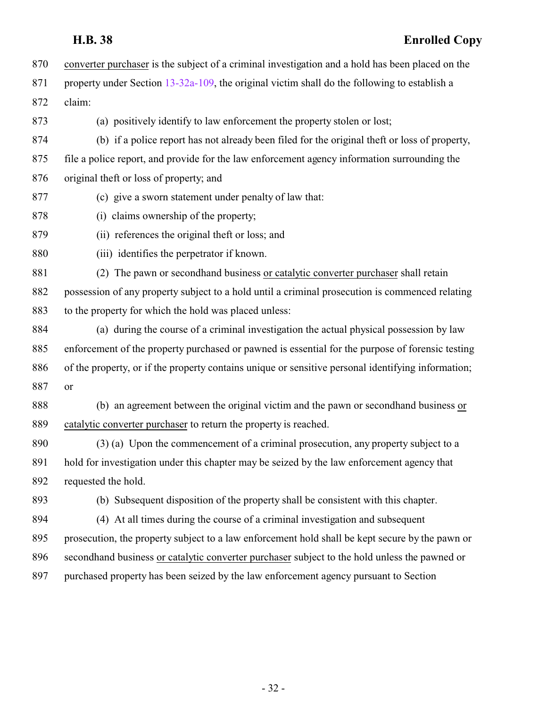- converter purchaser is the subject of a criminal investigation and a hold has been placed on the 871 property under Section [13-32a-109](#page-20-1), the original victim shall do the following to establish a claim:
- 

(a) positively identify to law enforcement the property stolen or lost;

- (b) if a police report has not already been filed for the original theft or loss of property, file a police report, and provide for the law enforcement agency information surrounding the original theft or loss of property; and
- (c) give a sworn statement under penalty of law that:
- (i) claims ownership of the property;
- (ii) references the original theft or loss; and
- (iii) identifies the perpetrator if known.

 (2) The pawn or secondhand business or catalytic converter purchaser shall retain possession of any property subject to a hold until a criminal prosecution is commenced relating to the property for which the hold was placed unless:

 (a) during the course of a criminal investigation the actual physical possession by law enforcement of the property purchased or pawned is essential for the purpose of forensic testing of the property, or if the property contains unique or sensitive personal identifying information; or

 (b) an agreement between the original victim and the pawn or secondhand business or catalytic converter purchaser to return the property is reached.

890 (3) (a) Upon the commencement of a criminal prosecution, any property subject to a hold for investigation under this chapter may be seized by the law enforcement agency that requested the hold.

(b) Subsequent disposition of the property shall be consistent with this chapter.

 (4) At all times during the course of a criminal investigation and subsequent prosecution, the property subject to a law enforcement hold shall be kept secure by the pawn or secondhand business or catalytic converter purchaser subject to the hold unless the pawned or

purchased property has been seized by the law enforcement agency pursuant to Section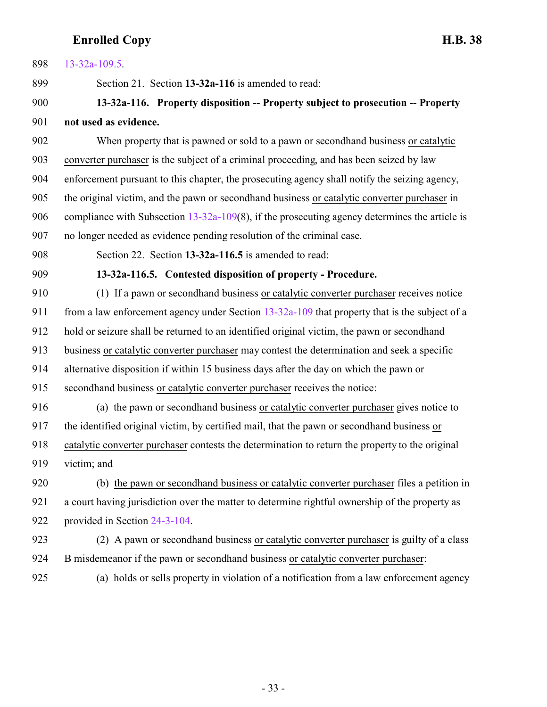<span id="page-32-1"></span><span id="page-32-0"></span>

| 898 | $13 - 32a - 109.5$ .                                                                             |
|-----|--------------------------------------------------------------------------------------------------|
| 899 | Section 21. Section 13-32a-116 is amended to read:                                               |
| 900 | 13-32a-116. Property disposition -- Property subject to prosecution -- Property                  |
| 901 | not used as evidence.                                                                            |
| 902 | When property that is pawned or sold to a pawn or second hand business or catalytic              |
| 903 | converter purchaser is the subject of a criminal proceeding, and has been seized by law          |
| 904 | enforcement pursuant to this chapter, the prosecuting agency shall notify the seizing agency,    |
| 905 | the original victim, and the pawn or secondhand business or catalytic converter purchaser in     |
| 906 | compliance with Subsection $13-32a-109(8)$ , if the prosecuting agency determines the article is |
| 907 | no longer needed as evidence pending resolution of the criminal case.                            |
| 908 | Section 22. Section 13-32a-116.5 is amended to read:                                             |
| 909 | 13-32a-116.5. Contested disposition of property - Procedure.                                     |
| 910 | (1) If a pawn or secondhand business or catalytic converter purchaser receives notice            |
| 911 | from a law enforcement agency under Section $13-32a-109$ that property that is the subject of a  |
| 912 | hold or seizure shall be returned to an identified original victim, the pawn or secondhand       |
| 913 | business or catalytic converter purchaser may contest the determination and seek a specific      |
| 914 | alternative disposition if within 15 business days after the day on which the pawn or            |
| 915 | secondhand business or catalytic converter purchaser receives the notice:                        |
| 916 | (a) the pawn or secondhand business or catalytic converter purchaser gives notice to             |
| 917 | the identified original victim, by certified mail, that the pawn or second hand business or      |
| 918 | catalytic converter purchaser contests the determination to return the property to the original  |
| 919 | victim; and                                                                                      |
| 920 | (b) the pawn or second hand business or catalytic converter purchaser files a petition in        |
| 921 | a court having jurisdiction over the matter to determine rightful ownership of the property as   |
| 922 | provided in Section 24-3-104.                                                                    |
| 923 | (2) A pawn or second hand business or catalytic converter purchaser is guilty of a class         |
| 924 | B misdemeanor if the pawn or secondhand business or catalytic converter purchaser:               |
| 925 | (a) holds or sells property in violation of a notification from a law enforcement agency         |

- 33 -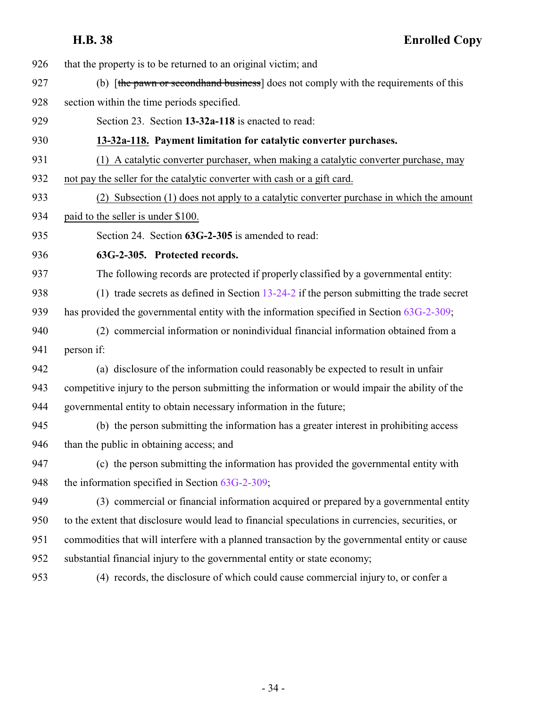that the property is to be returned to an original victim; and

- 927 (b) [the pawn or second hand business] does not comply with the requirements of this
- section within the time periods specified.

<span id="page-33-1"></span>Section 23. Section **13-32a-118** is enacted to read:

**13-32a-118. Payment limitation for catalytic converter purchases.**

(1) A catalytic converter purchaser, when making a catalytic converter purchase, may

not pay the seller for the catalytic converter with cash or a gift card.

(2) Subsection (1) does not apply to a catalytic converter purchase in which the amount

paid to the seller is under \$100.

<span id="page-33-0"></span>Section 24. Section **63G-2-305** is amended to read:

**63G-2-305. Protected records.**

The following records are protected if properly classified by a governmental entity:

(1) trade secrets as defined in Section [13-24-2](http://le.utah.gov/UtahCode/SectionLookup.jsp?section=13-24-2&session=2022GS) if the person submitting the trade secret

- has provided the governmental entity with the information specified in Section [63G-2-309](http://le.utah.gov/UtahCode/SectionLookup.jsp?section=63g-2-309&session=2022GS);
- (2) commercial information or nonindividual financial information obtained from a person if:

 (a) disclosure of the information could reasonably be expected to result in unfair competitive injury to the person submitting the information or would impair the ability of the governmental entity to obtain necessary information in the future;

 (b) the person submitting the information has a greater interest in prohibiting access than the public in obtaining access; and

 (c) the person submitting the information has provided the governmental entity with 948 the information specified in Section [63G-2-309](http://le.utah.gov/UtahCode/SectionLookup.jsp?section=63g-2-309&session=2022GS);

 (3) commercial or financial information acquired or prepared by a governmental entity to the extent that disclosure would lead to financial speculations in currencies, securities, or commodities that will interfere with a planned transaction by the governmental entity or cause substantial financial injury to the governmental entity or state economy;

(4) records, the disclosure of which could cause commercial injury to, or confer a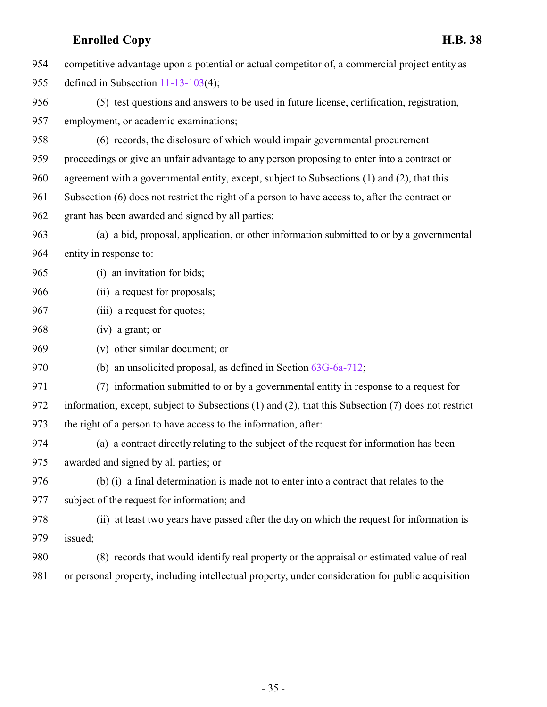|     | <b>Enrolled Copy</b><br><b>H.B. 38</b>                                                              |
|-----|-----------------------------------------------------------------------------------------------------|
| 954 | competitive advantage upon a potential or actual competitor of, a commercial project entity as      |
| 955 | defined in Subsection $11-13-103(4)$ ;                                                              |
| 956 | (5) test questions and answers to be used in future license, certification, registration,           |
| 957 | employment, or academic examinations;                                                               |
| 958 | (6) records, the disclosure of which would impair governmental procurement                          |
| 959 | proceedings or give an unfair advantage to any person proposing to enter into a contract or         |
| 960 | agreement with a governmental entity, except, subject to Subsections (1) and (2), that this         |
| 961 | Subsection (6) does not restrict the right of a person to have access to, after the contract or     |
| 962 | grant has been awarded and signed by all parties:                                                   |
| 963 | (a) a bid, proposal, application, or other information submitted to or by a governmental            |
| 964 | entity in response to:                                                                              |
| 965 | (i) an invitation for bids;                                                                         |
| 966 | (ii) a request for proposals;                                                                       |
| 967 | (iii) a request for quotes;                                                                         |
| 968 | $(iv)$ a grant; or                                                                                  |
| 969 | (v) other similar document; or                                                                      |
| 970 | (b) an unsolicited proposal, as defined in Section $63G-6a-712$ ;                                   |
| 971 | (7) information submitted to or by a governmental entity in response to a request for               |
| 972 | information, except, subject to Subsections (1) and (2), that this Subsection (7) does not restrict |
| 973 | the right of a person to have access to the information, after:                                     |
| 974 | (a) a contract directly relating to the subject of the request for information has been             |
| 975 | awarded and signed by all parties; or                                                               |
| 976 | (b) (i) a final determination is made not to enter into a contract that relates to the              |
| 977 | subject of the request for information; and                                                         |
| 978 | (ii) at least two years have passed after the day on which the request for information is           |
| 979 | issued;                                                                                             |
| 980 | (8) records that would identify real property or the appraisal or estimated value of real           |
| 981 | or personal property, including intellectual property, under consideration for public acquisition   |
|     |                                                                                                     |
|     |                                                                                                     |
|     |                                                                                                     |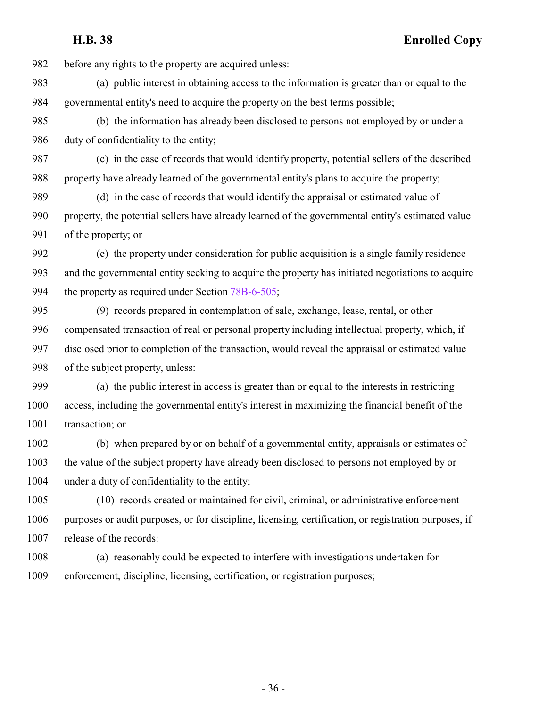before any rights to the property are acquired unless:

 (a) public interest in obtaining access to the information is greater than or equal to the governmental entity's need to acquire the property on the best terms possible;

 (b) the information has already been disclosed to persons not employed by or under a 986 duty of confidentiality to the entity;

 (c) in the case of records that would identify property, potential sellers of the described property have already learned of the governmental entity's plans to acquire the property;

 (d) in the case of records that would identify the appraisal or estimated value of property, the potential sellers have already learned of the governmental entity's estimated value of the property; or

 (e) the property under consideration for public acquisition is a single family residence and the governmental entity seeking to acquire the property has initiated negotiations to acquire the property as required under Section [78B-6-505](http://le.utah.gov/UtahCode/SectionLookup.jsp?section=78b-6-505&session=2022GS);

 (9) records prepared in contemplation of sale, exchange, lease, rental, or other compensated transaction of real or personal property including intellectual property, which, if disclosed prior to completion of the transaction, would reveal the appraisal or estimated value of the subject property, unless:

 (a) the public interest in access is greater than or equal to the interests in restricting access, including the governmental entity's interest in maximizing the financial benefit of the 1001 transaction; or

 (b) when prepared by or on behalf of a governmental entity, appraisals or estimates of the value of the subject property have already been disclosed to persons not employed by or under a duty of confidentiality to the entity;

 (10) records created or maintained for civil, criminal, or administrative enforcement purposes or audit purposes, or for discipline, licensing, certification, or registration purposes, if release of the records:

 (a) reasonably could be expected to interfere with investigations undertaken for enforcement, discipline, licensing, certification, or registration purposes;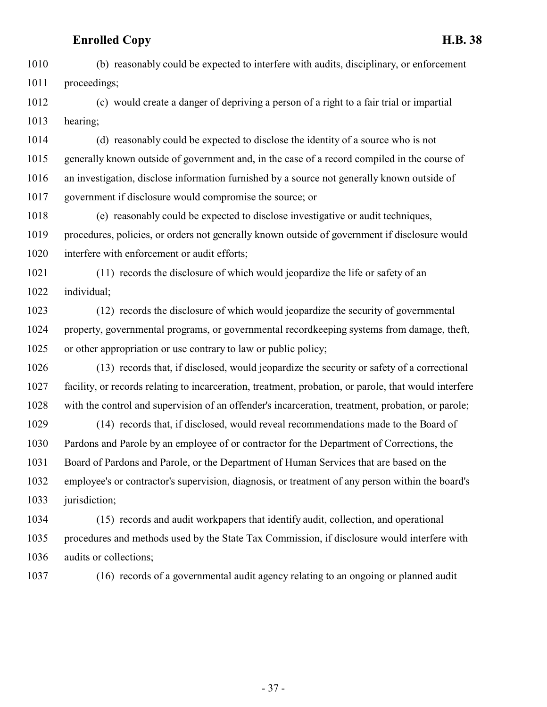(b) reasonably could be expected to interfere with audits, disciplinary, or enforcement proceedings;

 (c) would create a danger of depriving a person of a right to a fair trial or impartial hearing;

 (d) reasonably could be expected to disclose the identity of a source who is not generally known outside of government and, in the case of a record compiled in the course of an investigation, disclose information furnished by a source not generally known outside of government if disclosure would compromise the source; or

 (e) reasonably could be expected to disclose investigative or audit techniques, procedures, policies, or orders not generally known outside of government if disclosure would interfere with enforcement or audit efforts;

 (11) records the disclosure of which would jeopardize the life or safety of an individual;

 (12) records the disclosure of which would jeopardize the security of governmental property, governmental programs, or governmental recordkeeping systems from damage, theft, or other appropriation or use contrary to law or public policy;

 (13) records that, if disclosed, would jeopardize the security or safety of a correctional facility, or records relating to incarceration, treatment, probation, or parole, that would interfere with the control and supervision of an offender's incarceration, treatment, probation, or parole;

 (14) records that, if disclosed, would reveal recommendations made to the Board of Pardons and Parole by an employee of or contractor for the Department of Corrections, the Board of Pardons and Parole, or the Department of Human Services that are based on the employee's or contractor's supervision, diagnosis, or treatment of any person within the board's 1033 jurisdiction;

 (15) records and audit workpapers that identify audit, collection, and operational procedures and methods used by the State Tax Commission, if disclosure would interfere with audits or collections;

(16) records of a governmental audit agency relating to an ongoing or planned audit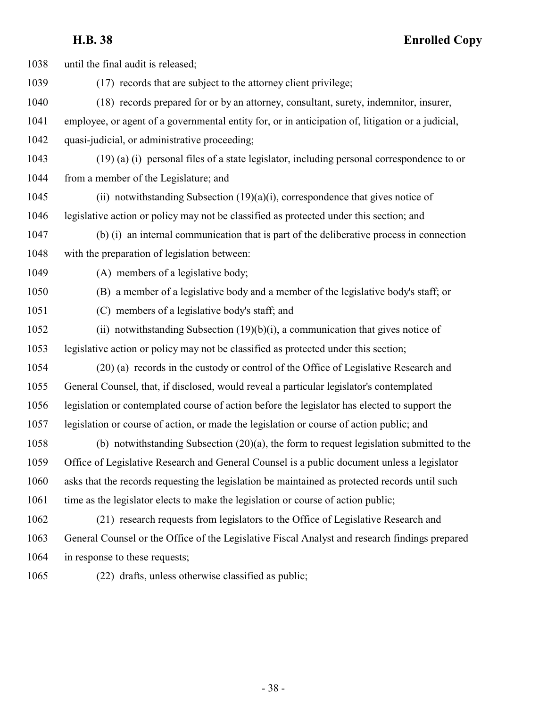| 1038 | until the final audit is released;                                                                |
|------|---------------------------------------------------------------------------------------------------|
| 1039 | (17) records that are subject to the attorney client privilege;                                   |
| 1040 | (18) records prepared for or by an attorney, consultant, surety, indemnitor, insurer,             |
| 1041 | employee, or agent of a governmental entity for, or in anticipation of, litigation or a judicial, |
| 1042 | quasi-judicial, or administrative proceeding;                                                     |
| 1043 | (19) (a) (i) personal files of a state legislator, including personal correspondence to or        |
| 1044 | from a member of the Legislature; and                                                             |
| 1045 | (ii) notwithstanding Subsection $(19)(a)(i)$ , correspondence that gives notice of                |
| 1046 | legislative action or policy may not be classified as protected under this section; and           |
| 1047 | (b) (i) an internal communication that is part of the deliberative process in connection          |
| 1048 | with the preparation of legislation between:                                                      |
| 1049 | (A) members of a legislative body;                                                                |
| 1050 | (B) a member of a legislative body and a member of the legislative body's staff; or               |
| 1051 | (C) members of a legislative body's staff; and                                                    |
| 1052 | (ii) notwithstanding Subsection $(19)(b)(i)$ , a communication that gives notice of               |
| 1053 | legislative action or policy may not be classified as protected under this section;               |
| 1054 | (20) (a) records in the custody or control of the Office of Legislative Research and              |
| 1055 | General Counsel, that, if disclosed, would reveal a particular legislator's contemplated          |
| 1056 | legislation or contemplated course of action before the legislator has elected to support the     |
| 1057 | legislation or course of action, or made the legislation or course of action public; and          |
| 1058 | (b) notwithstanding Subsection $(20)(a)$ , the form to request legislation submitted to the       |
| 1059 | Office of Legislative Research and General Counsel is a public document unless a legislator       |
| 1060 | asks that the records requesting the legislation be maintained as protected records until such    |
| 1061 | time as the legislator elects to make the legislation or course of action public;                 |
| 1062 | (21) research requests from legislators to the Office of Legislative Research and                 |
| 1063 | General Counsel or the Office of the Legislative Fiscal Analyst and research findings prepared    |
| 1064 | in response to these requests;                                                                    |
| 1065 | (22) drafts, unless otherwise classified as public;                                               |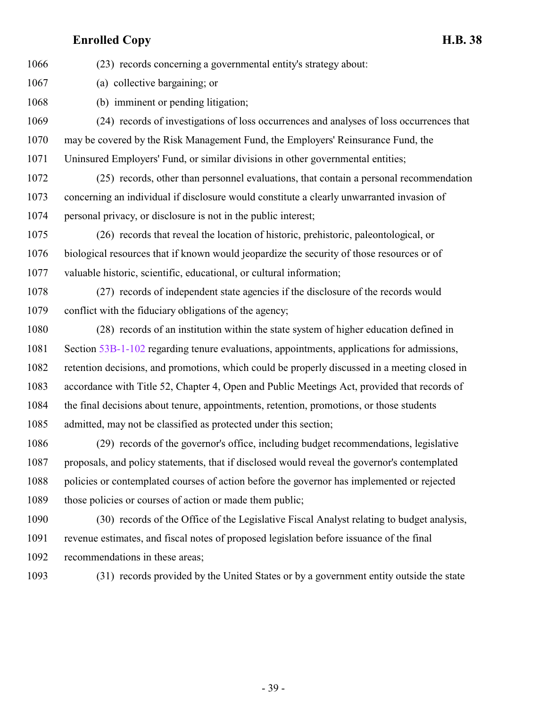(23) records concerning a governmental entity's strategy about:

(a) collective bargaining; or

(b) imminent or pending litigation;

 (24) records of investigations of loss occurrences and analyses of loss occurrences that may be covered by the Risk Management Fund, the Employers' Reinsurance Fund, the Uninsured Employers' Fund, or similar divisions in other governmental entities;

 (25) records, other than personnel evaluations, that contain a personal recommendation concerning an individual if disclosure would constitute a clearly unwarranted invasion of personal privacy, or disclosure is not in the public interest;

 (26) records that reveal the location of historic, prehistoric, paleontological, or biological resources that if known would jeopardize the security of those resources or of valuable historic, scientific, educational, or cultural information;

 (27) records of independent state agencies if the disclosure of the records would conflict with the fiduciary obligations of the agency;

 (28) records of an institution within the state system of higher education defined in Section [53B-1-102](http://le.utah.gov/UtahCode/SectionLookup.jsp?section=53b-1-102&session=2022GS) regarding tenure evaluations, appointments, applications for admissions, retention decisions, and promotions, which could be properly discussed in a meeting closed in accordance with Title 52, Chapter 4, Open and Public Meetings Act, provided that records of the final decisions about tenure, appointments, retention, promotions, or those students admitted, may not be classified as protected under this section;

 (29) records of the governor's office, including budget recommendations, legislative proposals, and policy statements, that if disclosed would reveal the governor's contemplated policies or contemplated courses of action before the governor has implemented or rejected 1089 those policies or courses of action or made them public;

 (30) records of the Office of the Legislative Fiscal Analyst relating to budget analysis, revenue estimates, and fiscal notes of proposed legislation before issuance of the final recommendations in these areas;

(31) records provided by the United States or by a government entity outside the state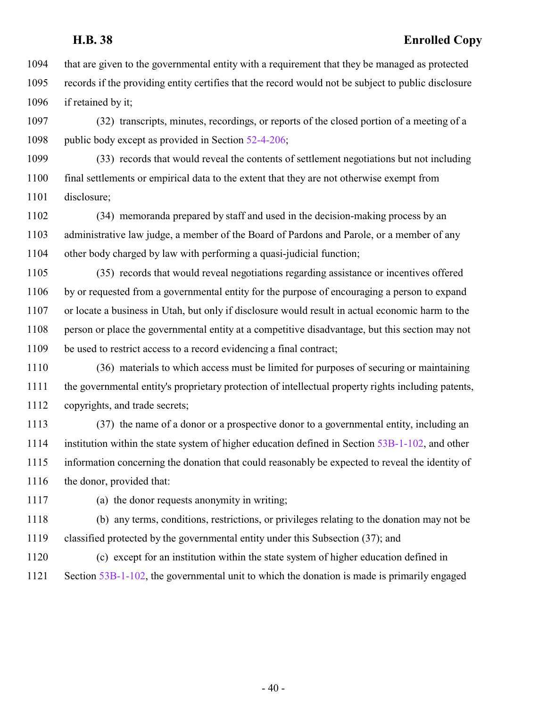that are given to the governmental entity with a requirement that they be managed as protected records if the providing entity certifies that the record would not be subject to public disclosure 1096 if retained by it;

 (32) transcripts, minutes, recordings, or reports of the closed portion of a meeting of a 1098 public body except as provided in Section [52-4-206](http://le.utah.gov/UtahCode/SectionLookup.jsp?section=52-4-206&session=2022GS);

 (33) records that would reveal the contents of settlement negotiations but not including final settlements or empirical data to the extent that they are not otherwise exempt from disclosure;

 (34) memoranda prepared by staff and used in the decision-making process by an administrative law judge, a member of the Board of Pardons and Parole, or a member of any other body charged by law with performing a quasi-judicial function;

 (35) records that would reveal negotiations regarding assistance or incentives offered by or requested from a governmental entity for the purpose of encouraging a person to expand or locate a business in Utah, but only if disclosure would result in actual economic harm to the person or place the governmental entity at a competitive disadvantage, but this section may not be used to restrict access to a record evidencing a final contract;

 (36) materials to which access must be limited for purposes of securing or maintaining the governmental entity's proprietary protection of intellectual property rights including patents, copyrights, and trade secrets;

 (37) the name of a donor or a prospective donor to a governmental entity, including an institution within the state system of higher education defined in Section [53B-1-102](http://le.utah.gov/UtahCode/SectionLookup.jsp?section=53b-1-102&session=2022GS), and other information concerning the donation that could reasonably be expected to reveal the identity of 1116 the donor, provided that:

(a) the donor requests anonymity in writing;

 (b) any terms, conditions, restrictions, or privileges relating to the donation may not be classified protected by the governmental entity under this Subsection (37); and

(c) except for an institution within the state system of higher education defined in

Section [53B-1-102](http://le.utah.gov/UtahCode/SectionLookup.jsp?section=53b-1-102&session=2022GS), the governmental unit to which the donation is made is primarily engaged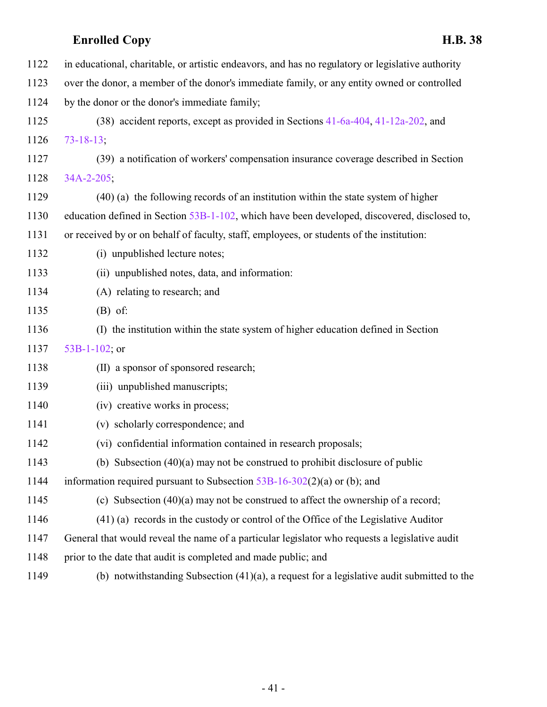| 1122 | in educational, charitable, or artistic endeavors, and has no regulatory or legislative authority |
|------|---------------------------------------------------------------------------------------------------|
| 1123 | over the donor, a member of the donor's immediate family, or any entity owned or controlled       |
| 1124 | by the donor or the donor's immediate family;                                                     |
| 1125 | (38) accident reports, except as provided in Sections 41-6a-404, 41-12a-202, and                  |
| 1126 | $73 - 18 - 13$ ;                                                                                  |
| 1127 | (39) a notification of workers' compensation insurance coverage described in Section              |
| 1128 | $34A - 2 - 205$ ;                                                                                 |
| 1129 | (40) (a) the following records of an institution within the state system of higher                |
| 1130 | education defined in Section 53B-1-102, which have been developed, discovered, disclosed to,      |
| 1131 | or received by or on behalf of faculty, staff, employees, or students of the institution:         |
| 1132 | (i) unpublished lecture notes;                                                                    |
| 1133 | (ii) unpublished notes, data, and information:                                                    |
| 1134 | (A) relating to research; and                                                                     |
| 1135 | $(B)$ of:                                                                                         |
| 1136 | (I) the institution within the state system of higher education defined in Section                |
| 1137 | 53B-1-102; or                                                                                     |
| 1138 | (II) a sponsor of sponsored research;                                                             |
| 1139 | (iii) unpublished manuscripts;                                                                    |
| 1140 | (iv) creative works in process;                                                                   |
| 1141 | (v) scholarly correspondence; and                                                                 |
| 1142 | (vi) confidential information contained in research proposals;                                    |
| 1143 | (b) Subsection $(40)(a)$ may not be construed to prohibit disclosure of public                    |
| 1144 | information required pursuant to Subsection $53B-16-302(2)(a)$ or (b); and                        |
| 1145 | (c) Subsection $(40)(a)$ may not be construed to affect the ownership of a record;                |
| 1146 | (41) (a) records in the custody or control of the Office of the Legislative Auditor               |
| 1147 | General that would reveal the name of a particular legislator who requests a legislative audit    |
| 1148 | prior to the date that audit is completed and made public; and                                    |
| 1149 | (b) notwithstanding Subsection $(41)(a)$ , a request for a legislative audit submitted to the     |
|      |                                                                                                   |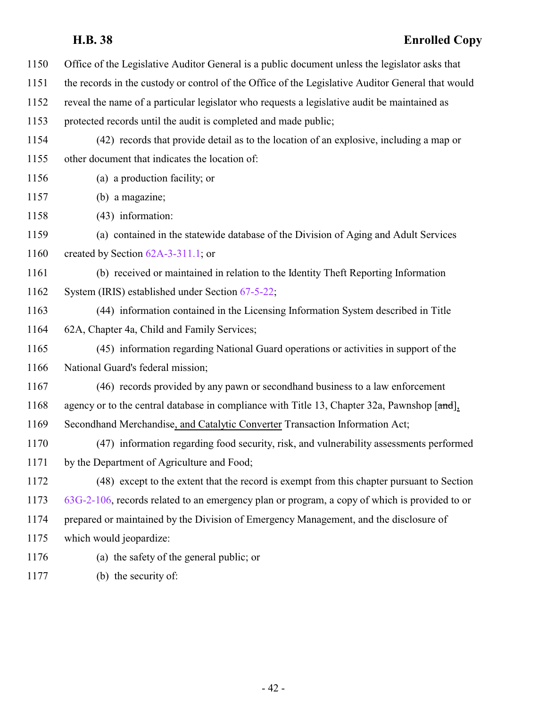| 1150 | Office of the Legislative Auditor General is a public document unless the legislator asks that    |
|------|---------------------------------------------------------------------------------------------------|
| 1151 | the records in the custody or control of the Office of the Legislative Auditor General that would |
| 1152 | reveal the name of a particular legislator who requests a legislative audit be maintained as      |
| 1153 | protected records until the audit is completed and made public;                                   |
| 1154 | (42) records that provide detail as to the location of an explosive, including a map or           |
| 1155 | other document that indicates the location of:                                                    |
| 1156 | (a) a production facility; or                                                                     |
| 1157 | (b) a magazine;                                                                                   |
| 1158 | (43) information:                                                                                 |
| 1159 | (a) contained in the statewide database of the Division of Aging and Adult Services               |
| 1160 | created by Section $62A-3-311.1$ ; or                                                             |
| 1161 | (b) received or maintained in relation to the Identity Theft Reporting Information                |
| 1162 | System (IRIS) established under Section 67-5-22;                                                  |
| 1163 | (44) information contained in the Licensing Information System described in Title                 |
| 1164 | 62A, Chapter 4a, Child and Family Services;                                                       |
| 1165 | (45) information regarding National Guard operations or activities in support of the              |
| 1166 | National Guard's federal mission;                                                                 |
| 1167 | (46) records provided by any pawn or second hand business to a law enforcement                    |
| 1168 | agency or to the central database in compliance with Title 13, Chapter 32a, Pawnshop [and],       |
| 1169 | Secondhand Merchandise, and Catalytic Converter Transaction Information Act;                      |
| 1170 | (47) information regarding food security, risk, and vulnerability assessments performed           |
| 1171 | by the Department of Agriculture and Food;                                                        |
| 1172 | (48) except to the extent that the record is exempt from this chapter pursuant to Section         |
| 1173 | 63G-2-106, records related to an emergency plan or program, a copy of which is provided to or     |
| 1174 | prepared or maintained by the Division of Emergency Management, and the disclosure of             |
| 1175 | which would jeopardize:                                                                           |
| 1176 | (a) the safety of the general public; or                                                          |
| 1177 | (b) the security of:                                                                              |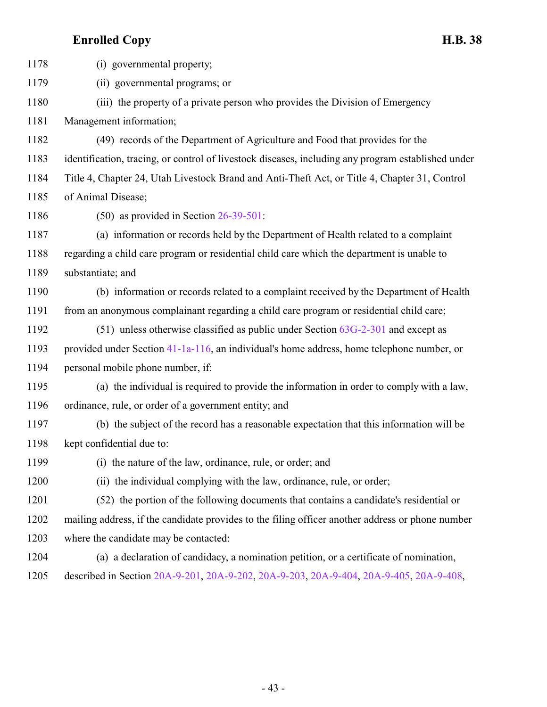(i) governmental property; (ii) governmental programs; or (iii) the property of a private person who provides the Division of Emergency Management information; (49) records of the Department of Agriculture and Food that provides for the identification, tracing, or control of livestock diseases, including any program established under Title 4, Chapter 24, Utah Livestock Brand and Anti-Theft Act, or Title 4, Chapter 31, Control of Animal Disease; (50) as provided in Section [26-39-501](http://le.utah.gov/UtahCode/SectionLookup.jsp?section=26-39-501&session=2022GS): (a) information or records held by the Department of Health related to a complaint regarding a child care program or residential child care which the department is unable to substantiate; and (b) information or records related to a complaint received by the Department of Health from an anonymous complainant regarding a child care program or residential child care; (51) unless otherwise classified as public under Section [63G-2-301](http://le.utah.gov/UtahCode/SectionLookup.jsp?section=63g-2-301&session=2022GS) and except as provided under Section [41-1a-116](http://le.utah.gov/UtahCode/SectionLookup.jsp?section=41-1a-116&session=2022GS), an individual's home address, home telephone number, or personal mobile phone number, if: (a) the individual is required to provide the information in order to comply with a law, ordinance, rule, or order of a government entity; and (b) the subject of the record has a reasonable expectation that this information will be kept confidential due to: (i) the nature of the law, ordinance, rule, or order; and (ii) the individual complying with the law, ordinance, rule, or order; (52) the portion of the following documents that contains a candidate's residential or mailing address, if the candidate provides to the filing officer another address or phone number where the candidate may be contacted: (a) a declaration of candidacy, a nomination petition, or a certificate of nomination, described in Section [20A-9-201](http://le.utah.gov/UtahCode/SectionLookup.jsp?section=20a-9-201&session=2022GS), [20A-9-202](http://le.utah.gov/UtahCode/SectionLookup.jsp?section=20a-9-202&session=2022GS), [20A-9-203](http://le.utah.gov/UtahCode/SectionLookup.jsp?section=20a-9-203&session=2022GS), [20A-9-404](http://le.utah.gov/UtahCode/SectionLookup.jsp?section=20a-9-404&session=2022GS), [20A-9-405](http://le.utah.gov/UtahCode/SectionLookup.jsp?section=20a-9-405&session=2022GS), [20A-9-408](http://le.utah.gov/UtahCode/SectionLookup.jsp?section=20a-9-408&session=2022GS),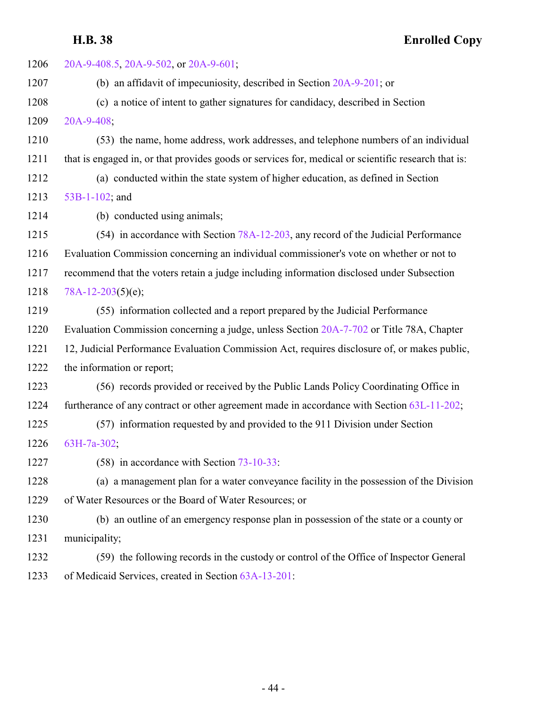| 1206 | 20A-9-408.5, 20A-9-502, or 20A-9-601;                                                               |
|------|-----------------------------------------------------------------------------------------------------|
| 1207 | (b) an affidavit of impecuniosity, described in Section $20A-9-201$ ; or                            |
| 1208 | (c) a notice of intent to gather signatures for candidacy, described in Section                     |
| 1209 | 20A-9-408;                                                                                          |
| 1210 | (53) the name, home address, work addresses, and telephone numbers of an individual                 |
| 1211 | that is engaged in, or that provides goods or services for, medical or scientific research that is: |
| 1212 | (a) conducted within the state system of higher education, as defined in Section                    |
| 1213 | 53B-1-102; and                                                                                      |
| 1214 | (b) conducted using animals;                                                                        |
| 1215 | (54) in accordance with Section 78A-12-203, any record of the Judicial Performance                  |
| 1216 | Evaluation Commission concerning an individual commissioner's vote on whether or not to             |
| 1217 | recommend that the voters retain a judge including information disclosed under Subsection           |
| 1218 | $78A-12-203(5)(e);$                                                                                 |
| 1219 | (55) information collected and a report prepared by the Judicial Performance                        |
| 1220 | Evaluation Commission concerning a judge, unless Section 20A-7-702 or Title 78A, Chapter            |
| 1221 | 12, Judicial Performance Evaluation Commission Act, requires disclosure of, or makes public,        |
| 1222 | the information or report;                                                                          |
| 1223 | (56) records provided or received by the Public Lands Policy Coordinating Office in                 |
| 1224 | furtherance of any contract or other agreement made in accordance with Section 63L-11-202;          |
| 1225 | (57) information requested by and provided to the 911 Division under Section                        |
| 1226 | 63H-7a-302;                                                                                         |
| 1227 | $(58)$ in accordance with Section 73-10-33:                                                         |
| 1228 | (a) a management plan for a water conveyance facility in the possession of the Division             |
| 1229 | of Water Resources or the Board of Water Resources; or                                              |
| 1230 | (b) an outline of an emergency response plan in possession of the state or a county or              |
| 1231 | municipality;                                                                                       |
| 1232 | (59) the following records in the custody or control of the Office of Inspector General             |
| 1233 | of Medicaid Services, created in Section 63A-13-201:                                                |
|      |                                                                                                     |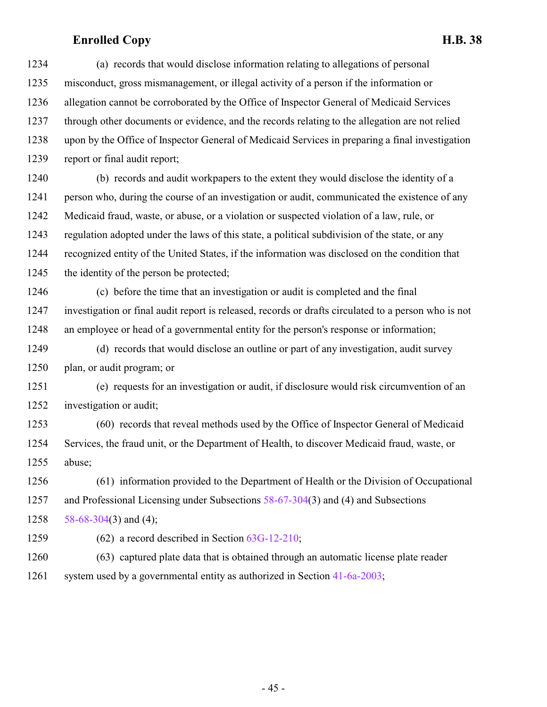(a) records that would disclose information relating to allegations of personal misconduct, gross mismanagement, or illegal activity of a person if the information or allegation cannot be corroborated by the Office of Inspector General of Medicaid Services through other documents or evidence, and the records relating to the allegation are not relied upon by the Office of Inspector General of Medicaid Services in preparing a final investigation report or final audit report;

 (b) records and audit workpapers to the extent they would disclose the identity of a person who, during the course of an investigation or audit, communicated the existence of any Medicaid fraud, waste, or abuse, or a violation or suspected violation of a law, rule, or regulation adopted under the laws of this state, a political subdivision of the state, or any recognized entity of the United States, if the information was disclosed on the condition that the identity of the person be protected;

 (c) before the time that an investigation or audit is completed and the final investigation or final audit report is released, records or drafts circulated to a person who is not an employee or head of a governmental entity for the person's response or information;

 (d) records that would disclose an outline or part of any investigation, audit survey plan, or audit program; or

 (e) requests for an investigation or audit, if disclosure would risk circumvention of an investigation or audit;

 (60) records that reveal methods used by the Office of Inspector General of Medicaid Services, the fraud unit, or the Department of Health, to discover Medicaid fraud, waste, or abuse;

 (61) information provided to the Department of Health or the Division of Occupational and Professional Licensing under Subsections [58-67-304](http://le.utah.gov/UtahCode/SectionLookup.jsp?section=58-67-304&session=2022GS)(3) and (4) and Subsections 1258  $58-68-304(3)$  $58-68-304(3)$  and (4);

(62) a record described in Section [63G-12-210](http://le.utah.gov/UtahCode/SectionLookup.jsp?section=63g-12-210&session=2022GS);

 (63) captured plate data that is obtained through an automatic license plate reader system used by a governmental entity as authorized in Section [41-6a-2003](http://le.utah.gov/UtahCode/SectionLookup.jsp?section=41-6a-2003&session=2022GS);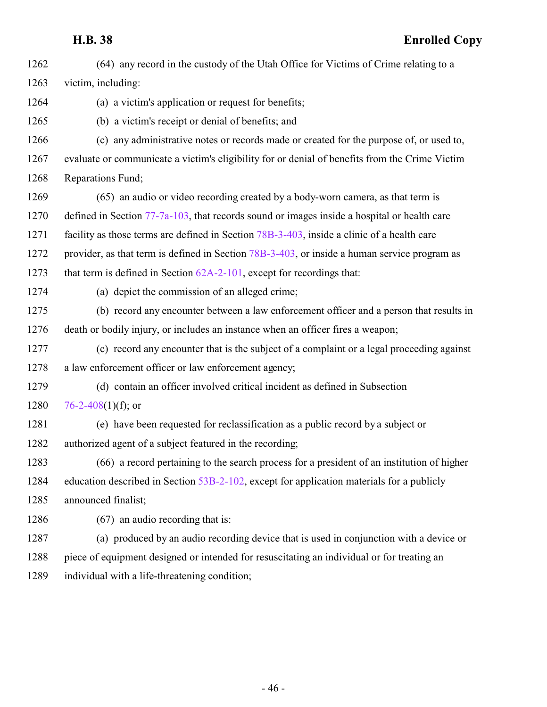| 1262 | (64) any record in the custody of the Utah Office for Victims of Crime relating to a           |
|------|------------------------------------------------------------------------------------------------|
| 1263 | victim, including:                                                                             |
| 1264 | (a) a victim's application or request for benefits;                                            |
| 1265 | (b) a victim's receipt or denial of benefits; and                                              |
| 1266 | (c) any administrative notes or records made or created for the purpose of, or used to,        |
| 1267 | evaluate or communicate a victim's eligibility for or denial of benefits from the Crime Victim |
| 1268 | Reparations Fund;                                                                              |
| 1269 | (65) an audio or video recording created by a body-worn camera, as that term is                |
| 1270 | defined in Section $77-7a-103$ , that records sound or images inside a hospital or health care |
| 1271 | facility as those terms are defined in Section 78B-3-403, inside a clinic of a health care     |
| 1272 | provider, as that term is defined in Section 78B-3-403, or inside a human service program as   |
| 1273 | that term is defined in Section $62A-2-101$ , except for recordings that:                      |
| 1274 | (a) depict the commission of an alleged crime;                                                 |
| 1275 | (b) record any encounter between a law enforcement officer and a person that results in        |
| 1276 | death or bodily injury, or includes an instance when an officer fires a weapon;                |
| 1277 | (c) record any encounter that is the subject of a complaint or a legal proceeding against      |
| 1278 | a law enforcement officer or law enforcement agency;                                           |
| 1279 | (d) contain an officer involved critical incident as defined in Subsection                     |
| 1280 | 76-2-408(1)(f); or                                                                             |
| 1281 | (e) have been requested for reclassification as a public record by a subject or                |
| 1282 | authorized agent of a subject featured in the recording;                                       |
| 1283 | (66) a record pertaining to the search process for a president of an institution of higher     |
| 1284 | education described in Section 53B-2-102, except for application materials for a publicly      |
| 1285 | announced finalist;                                                                            |
| 1286 | (67) an audio recording that is:                                                               |
| 1287 | (a) produced by an audio recording device that is used in conjunction with a device or         |
| 1288 | piece of equipment designed or intended for resuscitating an individual or for treating an     |
| 1289 | individual with a life-threatening condition;                                                  |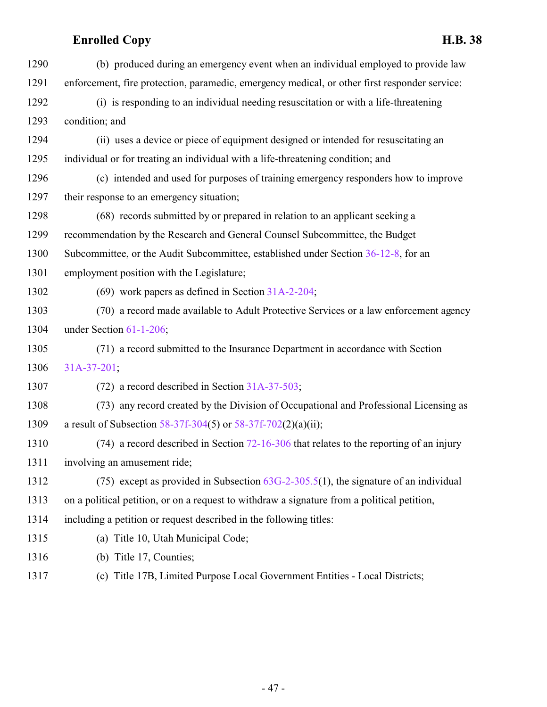| 1290 | (b) produced during an emergency event when an individual employed to provide law             |
|------|-----------------------------------------------------------------------------------------------|
| 1291 | enforcement, fire protection, paramedic, emergency medical, or other first responder service: |
| 1292 | (i) is responding to an individual needing resuscitation or with a life-threatening           |
| 1293 | condition; and                                                                                |
| 1294 | (ii) uses a device or piece of equipment designed or intended for resuscitating an            |
| 1295 | individual or for treating an individual with a life-threatening condition; and               |
| 1296 | (c) intended and used for purposes of training emergency responders how to improve            |
| 1297 | their response to an emergency situation;                                                     |
| 1298 | (68) records submitted by or prepared in relation to an applicant seeking a                   |
| 1299 | recommendation by the Research and General Counsel Subcommittee, the Budget                   |
| 1300 | Subcommittee, or the Audit Subcommittee, established under Section 36-12-8, for an            |
| 1301 | employment position with the Legislature;                                                     |
| 1302 | (69) work papers as defined in Section $31A-2-204$ ;                                          |
| 1303 | (70) a record made available to Adult Protective Services or a law enforcement agency         |
| 1304 | under Section 61-1-206;                                                                       |
| 1305 | (71) a record submitted to the Insurance Department in accordance with Section                |
| 1306 | $31A-37-201$ ;                                                                                |
| 1307 | $(72)$ a record described in Section 31A-37-503;                                              |
| 1308 | (73) any record created by the Division of Occupational and Professional Licensing as         |
| 1309 | a result of Subsection 58-37f-304(5) or $58-37f-702(2)(a)(ii)$ ;                              |
| 1310 | $(74)$ a record described in Section 72-16-306 that relates to the reporting of an injury     |
| 1311 | involving an amusement ride;                                                                  |
| 1312 | (75) except as provided in Subsection $63G-2-305.5(1)$ , the signature of an individual       |
| 1313 | on a political petition, or on a request to withdraw a signature from a political petition,   |
| 1314 | including a petition or request described in the following titles:                            |
| 1315 | (a) Title 10, Utah Municipal Code;                                                            |
| 1316 | (b) Title 17, Counties;                                                                       |
| 1317 | (c) Title 17B, Limited Purpose Local Government Entities - Local Districts;                   |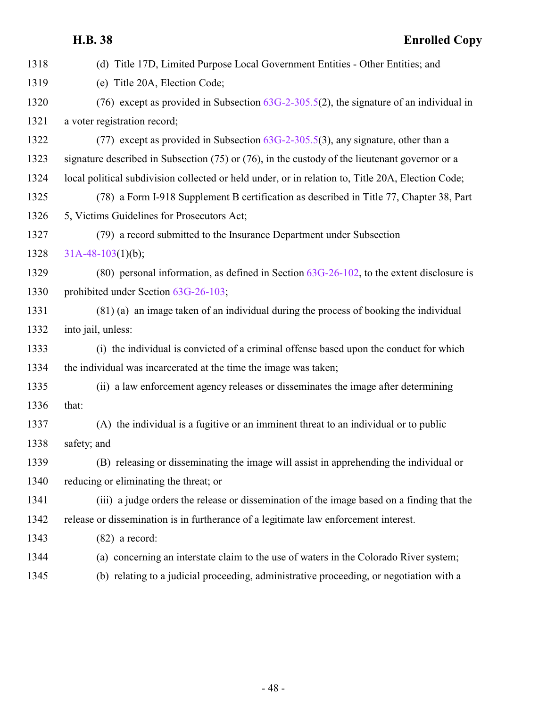|      | <b>H.B.</b> 38<br><b>Enrolled Copy</b>                                                              |
|------|-----------------------------------------------------------------------------------------------------|
| 1318 | (d) Title 17D, Limited Purpose Local Government Entities - Other Entities; and                      |
| 1319 | (e) Title 20A, Election Code;                                                                       |
| 1320 | (76) except as provided in Subsection $63G-2-305.5(2)$ , the signature of an individual in          |
| 1321 | a voter registration record;                                                                        |
| 1322 | (77) except as provided in Subsection $63G-2-305.5(3)$ , any signature, other than a                |
| 1323 | signature described in Subsection $(75)$ or $(76)$ , in the custody of the lieutenant governor or a |
| 1324 | local political subdivision collected or held under, or in relation to, Title 20A, Election Code;   |
| 1325 | (78) a Form I-918 Supplement B certification as described in Title 77, Chapter 38, Part             |
| 1326 | 5, Victims Guidelines for Prosecutors Act;                                                          |
| 1327 | (79) a record submitted to the Insurance Department under Subsection                                |
| 1328 | $31A-48-103(1)(b);$                                                                                 |
| 1329 | (80) personal information, as defined in Section $63G-26-102$ , to the extent disclosure is         |
| 1330 | prohibited under Section 63G-26-103;                                                                |
| 1331 | (81) (a) an image taken of an individual during the process of booking the individual               |
| 1332 | into jail, unless:                                                                                  |
| 1333 | (i) the individual is convicted of a criminal offense based upon the conduct for which              |
| 1334 | the individual was incarcerated at the time the image was taken;                                    |
| 1335 | (ii) a law enforcement agency releases or disseminates the image after determining                  |
| 1336 | that:                                                                                               |
| 1337 | (A) the individual is a fugitive or an imminent threat to an individual or to public                |
| 1338 | safety; and                                                                                         |
| 1339 | (B) releasing or disseminating the image will assist in apprehending the individual or              |
| 1340 | reducing or eliminating the threat; or                                                              |
| 1341 | (iii) a judge orders the release or dissemination of the image based on a finding that the          |
| 1342 | release or dissemination is in furtherance of a legitimate law enforcement interest.                |
| 1343 | $(82)$ a record:                                                                                    |
| 1344 | (a) concerning an interstate claim to the use of waters in the Colorado River system;               |
| 1345 | (b) relating to a judicial proceeding, administrative proceeding, or negotiation with a             |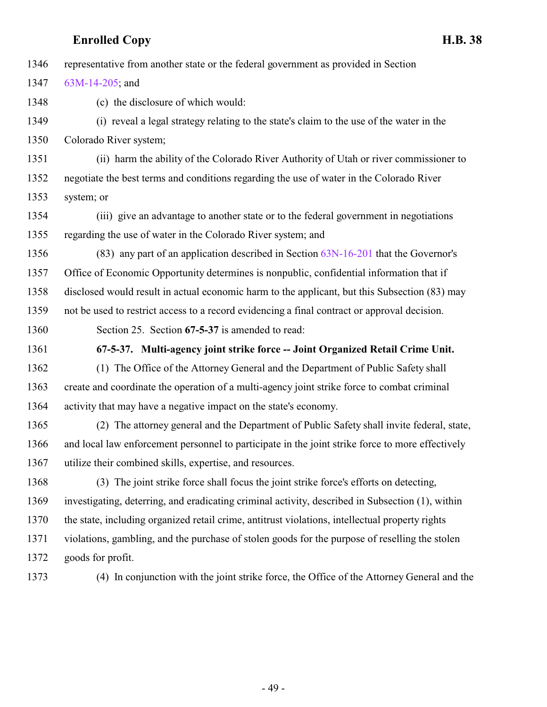representative from another state or the federal government as provided in Section

[63M-14-205](http://le.utah.gov/UtahCode/SectionLookup.jsp?section=63m-14-205&session=2022GS); and

(c) the disclosure of which would:

 (i) reveal a legal strategy relating to the state's claim to the use of the water in the Colorado River system;

 (ii) harm the ability of the Colorado River Authority of Utah or river commissioner to negotiate the best terms and conditions regarding the use of water in the Colorado River system; or

 (iii) give an advantage to another state or to the federal government in negotiations regarding the use of water in the Colorado River system; and

 (83) any part of an application described in Section [63N-16-201](http://le.utah.gov/UtahCode/SectionLookup.jsp?section=63n-16-201&session=2022GS) that the Governor's Office of Economic Opportunity determines is nonpublic, confidential information that if disclosed would result in actual economic harm to the applicant, but this Subsection (83) may not be used to restrict access to a record evidencing a final contract or approval decision.

<span id="page-48-0"></span>Section 25. Section **67-5-37** is amended to read:

**67-5-37. Multi-agency joint strike force -- Joint Organized Retail Crime Unit.**

 (1) The Office of the Attorney General and the Department of Public Safety shall create and coordinate the operation of a multi-agency joint strike force to combat criminal activity that may have a negative impact on the state's economy.

 (2) The attorney general and the Department of Public Safety shall invite federal, state, and local law enforcement personnel to participate in the joint strike force to more effectively utilize their combined skills, expertise, and resources.

 (3) The joint strike force shall focus the joint strike force's efforts on detecting, investigating, deterring, and eradicating criminal activity, described in Subsection (1), within the state, including organized retail crime, antitrust violations, intellectual property rights violations, gambling, and the purchase of stolen goods for the purpose of reselling the stolen goods for profit.

(4) In conjunction with the joint strike force, the Office of the Attorney General and the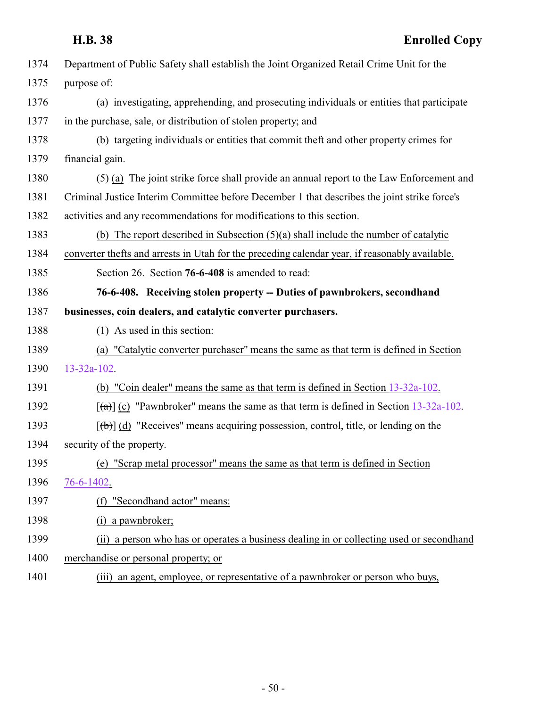<span id="page-49-0"></span>

| 1374 | Department of Public Safety shall establish the Joint Organized Retail Crime Unit for the                 |
|------|-----------------------------------------------------------------------------------------------------------|
| 1375 | purpose of:                                                                                               |
| 1376 | (a) investigating, apprehending, and prosecuting individuals or entities that participate                 |
| 1377 | in the purchase, sale, or distribution of stolen property; and                                            |
| 1378 | (b) targeting individuals or entities that commit theft and other property crimes for                     |
| 1379 | financial gain.                                                                                           |
| 1380 | (5) (a) The joint strike force shall provide an annual report to the Law Enforcement and                  |
| 1381 | Criminal Justice Interim Committee before December 1 that describes the joint strike force's              |
| 1382 | activities and any recommendations for modifications to this section.                                     |
| 1383 | (b) The report described in Subsection $(5)(a)$ shall include the number of catalytic                     |
| 1384 | converter thefts and arrests in Utah for the preceding calendar year, if reasonably available.            |
| 1385 | Section 26. Section 76-6-408 is amended to read:                                                          |
| 1386 | 76-6-408. Receiving stolen property -- Duties of pawnbrokers, secondhand                                  |
| 1387 | businesses, coin dealers, and catalytic converter purchasers.                                             |
| 1388 | (1) As used in this section:                                                                              |
| 1389 | (a) "Catalytic converter purchaser" means the same as that term is defined in Section                     |
| 1390 | $13 - 32a - 102$ .                                                                                        |
| 1391 | (b) "Coin dealer" means the same as that term is defined in Section 13-32a-102.                           |
| 1392 | $\left[\frac{1}{2}\right]$ (c) "Pawnbroker" means the same as that term is defined in Section 13-32a-102. |
| 1393 | $[\theta]$ (d) "Receives" means acquiring possession, control, title, or lending on the                   |
| 1394 | security of the property.                                                                                 |
| 1395 | (e) "Scrap metal processor" means the same as that term is defined in Section                             |
| 1396 | 76-6-1402.                                                                                                |
| 1397 | "Secondhand actor" means:<br>(f)                                                                          |
| 1398 | a pawnbroker;<br>(i)                                                                                      |
| 1399 | (ii) a person who has or operates a business dealing in or collecting used or secondhand                  |
| 1400 | merchandise or personal property; or                                                                      |
| 1401 | (iii) an agent, employee, or representative of a pawnbroker or person who buys,                           |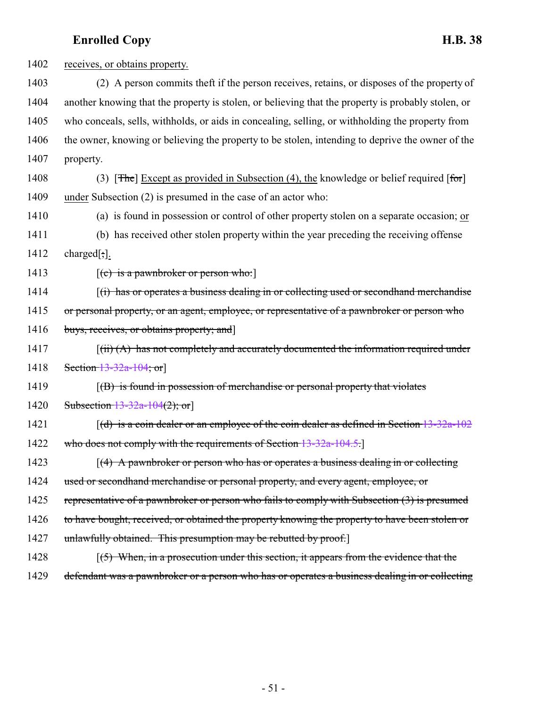1402 receives, or obtains property. 1403 (2) A person commits theft if the person receives, retains, or disposes of the property of 1404 another knowing that the property is stolen, or believing that the property is probably stolen, or 1405 who conceals, sells, withholds, or aids in concealing, selling, or withholding the property from 1406 the owner, knowing or believing the property to be stolen, intending to deprive the owner of the 1407 property. 1408 (3) [The] Except as provided in Subsection (4), the knowledge or belief required [for] 1409 under Subsection (2) is presumed in the case of an actor who: 1410 (a) is found in possession or control of other property stolen on a separate occasion; or 1411 (b) has received other stolen property within the year preceding the receiving offense 1412 charged[;]. 1413  $[(e)$  is a pawnbroker or person who: 1414 [(i) has or operates a business dealing in or collecting used or secondhand merchandise 1415 or personal property, or an agent, employee, or representative of a pawnbroker or person who 1416 buys, receives, or obtains property; and 1417 [(ii) (A) has not completely and accurately documented the information required under 1418 Section [13-32a-104](#page-10-0); or 1419  $\left[\text{(B)}\right]$  is found in possession of merchandise or personal property that violates 1420 Subsection [13-32a-104](#page-10-0)(2); or 1421  $[(d)$  is a coin dealer or an employee of the coin dealer as defined in Section [13-32a-102](#page-3-1) 1422 who does not comply with the requirements of Section [13-32a-104.5](http://le.utah.gov/UtahCode/SectionLookup.jsp?section=13-32a-104.5&session=2022GS). 1423 [(4) A pawnbroker or person who has or operates a business dealing in or collecting 1424 used or secondhand merchandise or personal property, and every agent, employee, or 1425 representative of a pawnbroker or person who fails to comply with Subsection (3) is presumed 1426 to have bought, received, or obtained the property knowing the property to have been stolen or 1427 unlawfully obtained. This presumption may be rebutted by proof. 1428 [(5) When, in a prosecution under this section, it appears from the evidence that the 1429 defendant was a pawnbroker or a person who has or operates a business dealing in or collecting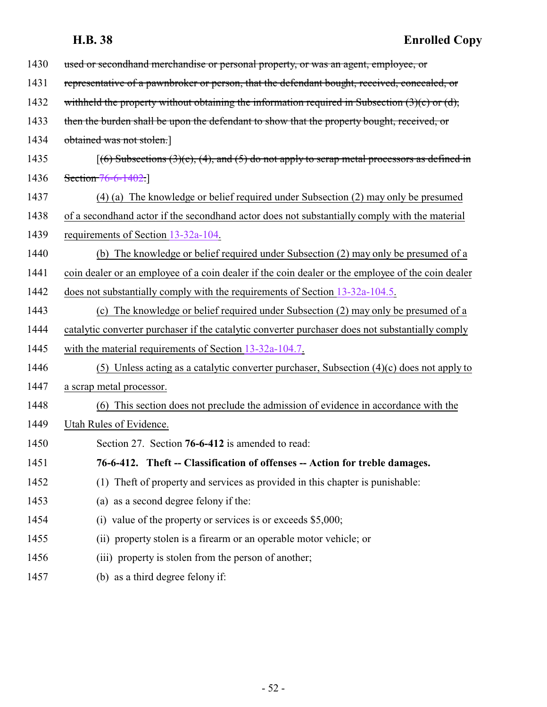<span id="page-51-0"></span>

| 1430 | used or second hand merchandise or personal property, or was an agent, employee, or                  |
|------|------------------------------------------------------------------------------------------------------|
| 1431 | representative of a pawnbroker or person, that the defendant bought, received, concealed, or         |
| 1432 | withheld the property without obtaining the information required in Subsection $(3)(c)$ or $(d)$ ,   |
| 1433 | then the burden shall be upon the defendant to show that the property bought, received, or           |
| 1434 | obtained was not stolen.]                                                                            |
| 1435 | $[(6)$ Subsections $(3)(c)$ , $(4)$ , and $(5)$ do not apply to scrap metal processors as defined in |
| 1436 | Section 76-6-1402.                                                                                   |
| 1437 | (4) (a) The knowledge or belief required under Subsection (2) may only be presumed                   |
| 1438 | of a secondhand actor if the secondhand actor does not substantially comply with the material        |
| 1439 | requirements of Section 13-32a-104.                                                                  |
| 1440 | (b) The knowledge or belief required under Subsection (2) may only be presumed of a                  |
| 1441 | coin dealer or an employee of a coin dealer if the coin dealer or the employee of the coin dealer    |
| 1442 | does not substantially comply with the requirements of Section 13-32a-104.5.                         |
| 1443 | (c) The knowledge or belief required under Subsection (2) may only be presumed of a                  |
| 1444 | catalytic converter purchaser if the catalytic converter purchaser does not substantially comply     |
| 1445 | with the material requirements of Section 13-32a-104.7.                                              |
| 1446 | (5) Unless acting as a catalytic converter purchaser, Subsection $(4)(c)$ does not apply to          |
| 1447 | a scrap metal processor.                                                                             |
| 1448 | This section does not preclude the admission of evidence in accordance with the<br>(6)               |
| 1449 | Utah Rules of Evidence.                                                                              |
| 1450 | Section 27. Section 76-6-412 is amended to read:                                                     |
| 1451 | 76-6-412. Theft -- Classification of offenses -- Action for treble damages.                          |
| 1452 | (1) The ft of property and services as provided in this chapter is punishable:                       |
| 1453 | (a) as a second degree felony if the:                                                                |
| 1454 | (i) value of the property or services is or exceeds $$5,000$ ;                                       |
| 1455 | (ii) property stolen is a firearm or an operable motor vehicle; or                                   |
| 1456 | (iii) property is stolen from the person of another;                                                 |
| 1457 | (b) as a third degree felony if:                                                                     |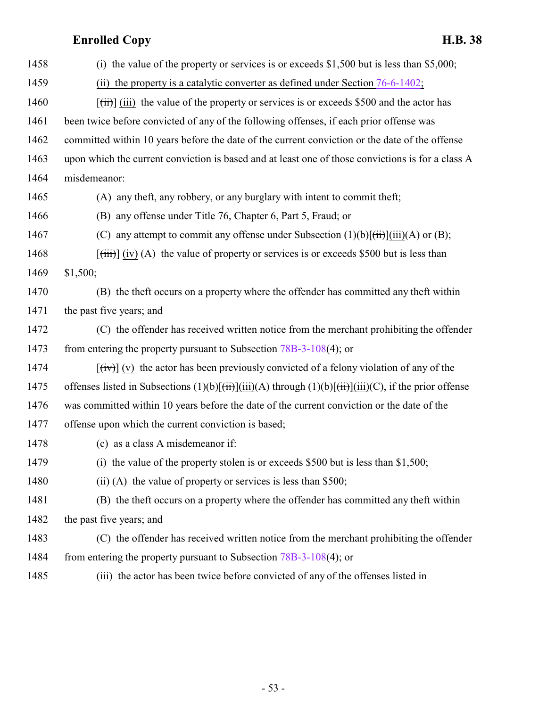| 1458 | (i) the value of the property or services is or exceeds $$1,500$ but is less than $$5,000$ ;                                                            |
|------|---------------------------------------------------------------------------------------------------------------------------------------------------------|
| 1459 | the property is a catalytic converter as defined under Section 76-6-1402;<br>(ii)                                                                       |
| 1460 | $[\overrightarrow{tii}]$ (iii) the value of the property or services is or exceeds \$500 and the actor has                                              |
| 1461 | been twice before convicted of any of the following offenses, if each prior offense was                                                                 |
| 1462 | committed within 10 years before the date of the current conviction or the date of the offense                                                          |
| 1463 | upon which the current conviction is based and at least one of those convictions is for a class A                                                       |
| 1464 | misdemeanor:                                                                                                                                            |
| 1465 | (A) any theft, any robbery, or any burglary with intent to commit theft;                                                                                |
| 1466 | (B) any offense under Title 76, Chapter 6, Part 5, Fraud; or                                                                                            |
| 1467 | (C) any attempt to commit any offense under Subsection $(1)(b)[\overrightarrow{tii}][\overrightarrow{iii})(A)$ or $(B)$ ;                               |
| 1468 | $[\text{(iii)}]$ (iv) (A) the value of property or services is or exceeds \$500 but is less than                                                        |
| 1469 | \$1,500;                                                                                                                                                |
| 1470 | (B) the theft occurs on a property where the offender has committed any theft within                                                                    |
| 1471 | the past five years; and                                                                                                                                |
| 1472 | (C) the offender has received written notice from the merchant prohibiting the offender                                                                 |
| 1473 | from entering the property pursuant to Subsection $78B-3-108(4)$ ; or                                                                                   |
| 1474 | $[\overrightarrow{tv}]$ (v) the actor has been previously convicted of a felony violation of any of the                                                 |
| 1475 | offenses listed in Subsections $(1)(b)[\overrightarrow{t}$ fii) $](iii)(A)$ through $(1)(b)[\overrightarrow{t}$ fii) $](iii)(C)$ , if the prior offense |
| 1476 | was committed within 10 years before the date of the current conviction or the date of the                                                              |
| 1477 | offense upon which the current conviction is based;                                                                                                     |
| 1478 | (c) as a class A misdemeanor if:                                                                                                                        |
| 1479 | (i) the value of the property stolen is or exceeds $$500$ but is less than $$1,500$ ;                                                                   |
| 1480 |                                                                                                                                                         |
|      | (ii) (A) the value of property or services is less than \$500;                                                                                          |
| 1481 | (B) the theft occurs on a property where the offender has committed any theft within                                                                    |
| 1482 | the past five years; and                                                                                                                                |
| 1483 | (C) the offender has received written notice from the merchant prohibiting the offender                                                                 |
| 1484 | from entering the property pursuant to Subsection $78B-3-108(4)$ ; or                                                                                   |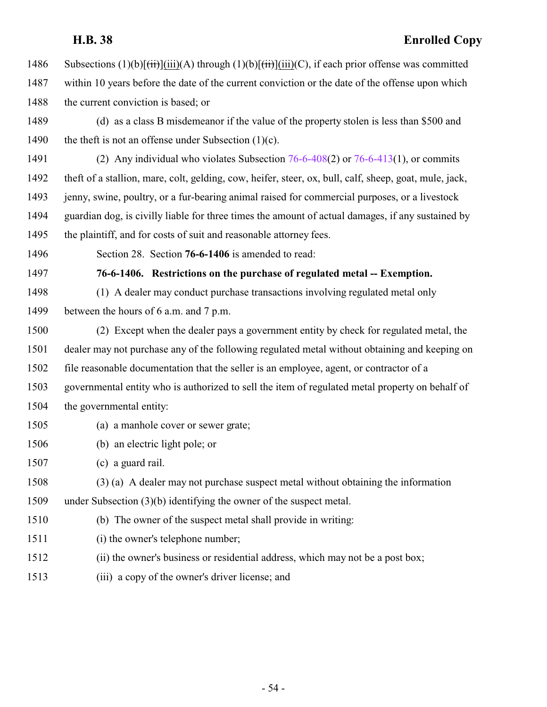| 1486 | Subsections $(1)(b)[\overrightarrow{iii}](ii)(A)$ through $(1)(b)[\overrightarrow{iii}](ii)(C)$ , if each prior offense was committed |
|------|---------------------------------------------------------------------------------------------------------------------------------------|
| 1487 | within 10 years before the date of the current conviction or the date of the offense upon which                                       |
| 1488 | the current conviction is based; or                                                                                                   |
| 1489 | (d) as a class B misdemeanor if the value of the property stolen is less than \$500 and                                               |

- 1490 the theft is not an offense under Subsection  $(1)(c)$ .
- (2) Any individual who violates Subsection [76-6-408](#page-49-0)(2) or [76-6-413](http://le.utah.gov/UtahCode/SectionLookup.jsp?section=76-6-413&session=2022GS)(1), or commits theft of a stallion, mare, colt, gelding, cow, heifer, steer, ox, bull, calf, sheep, goat, mule, jack, 1493 jenny, swine, poultry, or a fur-bearing animal raised for commercial purposes, or a livestock guardian dog, is civilly liable for three times the amount of actual damages, if any sustained by 1495 the plaintiff, and for costs of suit and reasonable attorney fees.
- <span id="page-53-0"></span>Section 28. Section **76-6-1406** is amended to read:

**76-6-1406. Restrictions on the purchase of regulated metal -- Exemption.**

- (1) A dealer may conduct purchase transactions involving regulated metal only
- between the hours of 6 a.m. and 7 p.m.
- (2) Except when the dealer pays a government entity by check for regulated metal, the dealer may not purchase any of the following regulated metal without obtaining and keeping on file reasonable documentation that the seller is an employee, agent, or contractor of a governmental entity who is authorized to sell the item of regulated metal property on behalf of the governmental entity:
- (a) a manhole cover or sewer grate;
- (b) an electric light pole; or
- (c) a guard rail.
- (3) (a) A dealer may not purchase suspect metal without obtaining the information

under Subsection (3)(b) identifying the owner of the suspect metal.

- (b) The owner of the suspect metal shall provide in writing:
- (i) the owner's telephone number;
- (ii) the owner's business or residential address, which may not be a post box;
- (iii) a copy of the owner's driver license; and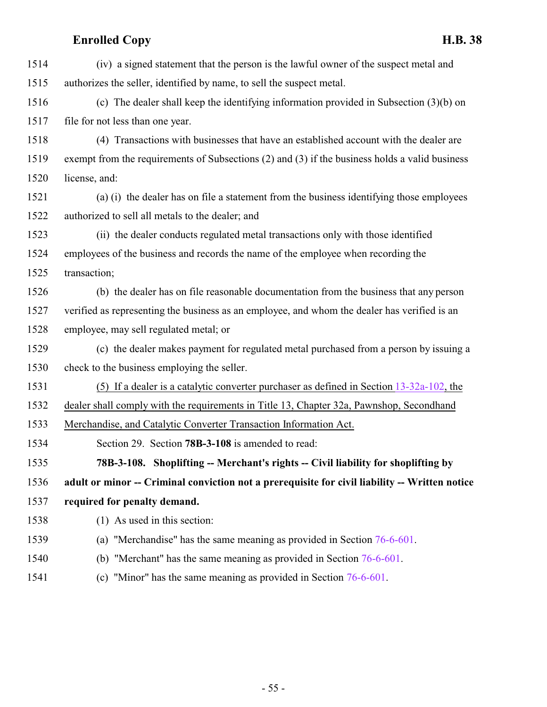| 1514 | (iv) a signed statement that the person is the lawful owner of the suspect metal and           |
|------|------------------------------------------------------------------------------------------------|
| 1515 | authorizes the seller, identified by name, to sell the suspect metal.                          |
| 1516 | (c) The dealer shall keep the identifying information provided in Subsection $(3)(b)$ on       |
| 1517 | file for not less than one year.                                                               |
| 1518 | (4) Transactions with businesses that have an established account with the dealer are          |
| 1519 | exempt from the requirements of Subsections (2) and (3) if the business holds a valid business |
| 1520 | license, and:                                                                                  |
| 1521 | (a) (i) the dealer has on file a statement from the business identifying those employees       |
| 1522 | authorized to sell all metals to the dealer; and                                               |
| 1523 | (ii) the dealer conducts regulated metal transactions only with those identified               |
| 1524 | employees of the business and records the name of the employee when recording the              |
| 1525 | transaction;                                                                                   |
| 1526 | (b) the dealer has on file reasonable documentation from the business that any person          |
| 1527 | verified as representing the business as an employee, and whom the dealer has verified is an   |
| 1528 | employee, may sell regulated metal; or                                                         |
| 1529 | (c) the dealer makes payment for regulated metal purchased from a person by issuing a          |
| 1530 | check to the business employing the seller.                                                    |
| 1531 | (5) If a dealer is a catalytic converter purchaser as defined in Section $13-32a-102$ , the    |
| 1532 | dealer shall comply with the requirements in Title 13, Chapter 32a, Pawnshop, Secondhand       |
| 1533 | Merchandise, and Catalytic Converter Transaction Information Act.                              |
| 1534 | Section 29. Section 78B-3-108 is amended to read:                                              |
| 1535 | 78B-3-108. Shoplifting -- Merchant's rights -- Civil liability for shoplifting by              |
| 1536 | adult or minor -- Criminal conviction not a prerequisite for civil liability -- Written notice |
| 1537 | required for penalty demand.                                                                   |
| 1538 | (1) As used in this section:                                                                   |
| 1539 | (a) "Merchandise" has the same meaning as provided in Section $76-6-601$ .                     |
| 1540 | (b) "Merchant" has the same meaning as provided in Section $76-6-601$ .                        |
|      |                                                                                                |

<span id="page-54-0"></span>(c) "Minor" has the same meaning as provided in Section [76-6-601](http://le.utah.gov/UtahCode/SectionLookup.jsp?section=76-6-601&session=2022GS).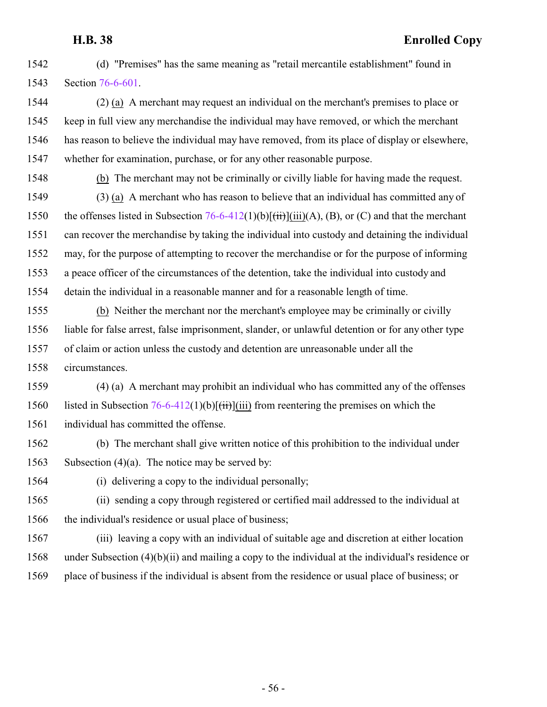(d) "Premises" has the same meaning as "retail mercantile establishment" found in Section [76-6-601](http://le.utah.gov/UtahCode/SectionLookup.jsp?section=76-6-601&session=2022GS).

 (2) (a) A merchant may request an individual on the merchant's premises to place or keep in full view any merchandise the individual may have removed, or which the merchant has reason to believe the individual may have removed, from its place of display or elsewhere, whether for examination, purchase, or for any other reasonable purpose.

(b) The merchant may not be criminally or civilly liable for having made the request.

 (3) (a) A merchant who has reason to believe that an individual has committed any of 1550 the offenses listed in Subsection  $76-6-412(1)(b)[(iii)(A), (B), or (C)$  and that the merchant can recover the merchandise by taking the individual into custody and detaining the individual may, for the purpose of attempting to recover the merchandise or for the purpose of informing a peace officer of the circumstances of the detention, take the individual into custody and detain the individual in a reasonable manner and for a reasonable length of time.

 (b) Neither the merchant nor the merchant's employee may be criminally or civilly liable for false arrest, false imprisonment, slander, or unlawful detention or for any other type of claim or action unless the custody and detention are unreasonable under all the circumstances.

 (4) (a) A merchant may prohibit an individual who has committed any of the offenses 1560 listed in Subsection  $76-6-412(1)(b)[(iii)]$  from reentering the premises on which the individual has committed the offense.

 (b) The merchant shall give written notice of this prohibition to the individual under Subsection (4)(a). The notice may be served by:

(i) delivering a copy to the individual personally;

 (ii) sending a copy through registered or certified mail addressed to the individual at the individual's residence or usual place of business;

 (iii) leaving a copy with an individual of suitable age and discretion at either location under Subsection (4)(b)(ii) and mailing a copy to the individual at the individual's residence or place of business if the individual is absent from the residence or usual place of business; or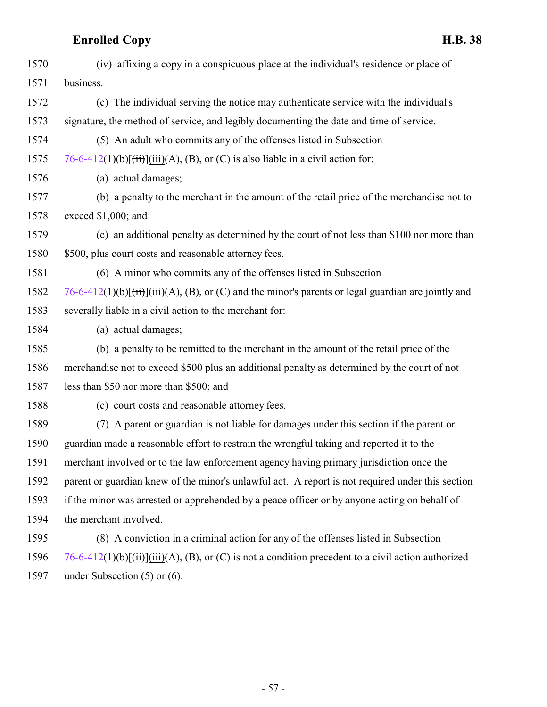| 1570 | (iv) affixing a copy in a conspicuous place at the individual's residence or place of                                      |
|------|----------------------------------------------------------------------------------------------------------------------------|
| 1571 | business.                                                                                                                  |
| 1572 | (c) The individual serving the notice may authenticate service with the individual's                                       |
| 1573 | signature, the method of service, and legibly documenting the date and time of service.                                    |
| 1574 | (5) An adult who commits any of the offenses listed in Subsection                                                          |
| 1575 | 76-6-412(1)(b) $\left[\frac{1}{11}\right]$ (iii)(A), (B), or (C) is also liable in a civil action for:                     |
| 1576 | (a) actual damages;                                                                                                        |
| 1577 | (b) a penalty to the merchant in the amount of the retail price of the merchandise not to                                  |
| 1578 | exceed \$1,000; and                                                                                                        |
| 1579 | (c) an additional penalty as determined by the court of not less than \$100 nor more than                                  |
| 1580 | \$500, plus court costs and reasonable attorney fees.                                                                      |
| 1581 | (6) A minor who commits any of the offenses listed in Subsection                                                           |
| 1582 | 76-6-412(1)(b) $\left[\frac{1}{11}\right]$ (iii)(A), (B), or (C) and the minor's parents or legal guardian are jointly and |
| 1583 | severally liable in a civil action to the merchant for:                                                                    |
| 1584 | (a) actual damages;                                                                                                        |
| 1585 | (b) a penalty to be remitted to the merchant in the amount of the retail price of the                                      |
| 1586 | merchandise not to exceed \$500 plus an additional penalty as determined by the court of not                               |
| 1587 | less than \$50 nor more than \$500; and                                                                                    |
| 1588 | (c) court costs and reasonable attorney fees.                                                                              |
| 1589 | (7) A parent or guardian is not liable for damages under this section if the parent or                                     |
| 1590 | guardian made a reasonable effort to restrain the wrongful taking and reported it to the                                   |
| 1591 | merchant involved or to the law enforcement agency having primary jurisdiction once the                                    |
| 1592 | parent or guardian knew of the minor's unlawful act. A report is not required under this section                           |
| 1593 | if the minor was arrested or apprehended by a peace officer or by anyone acting on behalf of                               |
| 1594 | the merchant involved.                                                                                                     |
| 1595 | (8) A conviction in a criminal action for any of the offenses listed in Subsection                                         |
| 1596 | 76-6-412(1)(b) $\left[\frac{1}{11}\right]$ (iii)(A), (B), or (C) is not a condition precedent to a civil action authorized |
| 1597 | under Subsection $(5)$ or $(6)$ .                                                                                          |